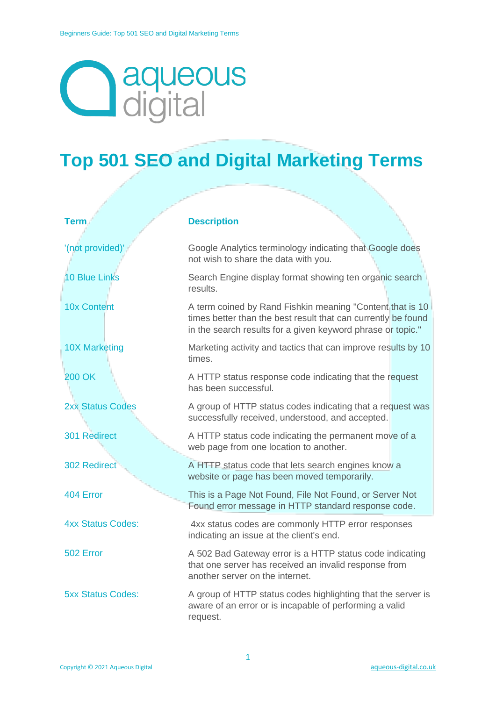## **aqueous**<br>digital

## **Top 501 SEO and Digital Marketing Terms**

| <b>Term</b>              | <b>Description</b>                                                                                                                                                                        |
|--------------------------|-------------------------------------------------------------------------------------------------------------------------------------------------------------------------------------------|
| '(not provided)'         | Google Analytics terminology indicating that Google does<br>not wish to share the data with you.                                                                                          |
| <b>10 Blue Links</b>     | Search Engine display format showing ten organic search<br>results.                                                                                                                       |
| <b>10x Content</b>       | A term coined by Rand Fishkin meaning "Content that is 10<br>times better than the best result that can currently be found<br>in the search results for a given keyword phrase or topic." |
| <b>10X Marketing</b>     | Marketing activity and tactics that can improve results by 10<br>times.                                                                                                                   |
| <b>200 OK</b>            | A HTTP status response code indicating that the request<br>has been successful.                                                                                                           |
| <b>2xx Status Codes</b>  | A group of HTTP status codes indicating that a request was<br>successfully received, understood, and accepted.                                                                            |
| 301 Redirect             | A HTTP status code indicating the permanent move of a<br>web page from one location to another.                                                                                           |
| 302 Redirect             | A HTTP status code that lets search engines know a<br>website or page has been moved temporarily.                                                                                         |
| 404 Error                | This is a Page Not Found, File Not Found, or Server Not<br>Found error message in HTTP standard response code.                                                                            |
| <b>4xx Status Codes:</b> | 4xx status codes are commonly HTTP error responses<br>indicating an issue at the client's end.                                                                                            |
| 502 Error                | A 502 Bad Gateway error is a HTTP status code indicating<br>that one server has received an invalid response from<br>another server on the internet.                                      |
| <b>5xx Status Codes:</b> | A group of HTTP status codes highlighting that the server is<br>aware of an error or is incapable of performing a valid<br>request.                                                       |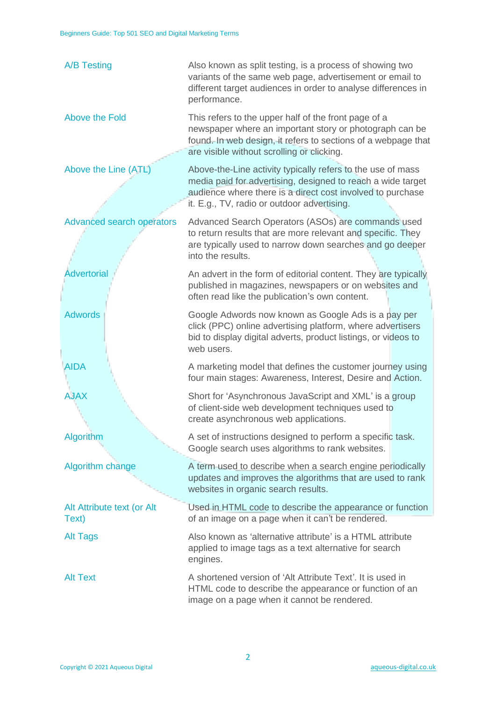| <b>A/B Testing</b>                  | Also known as split testing, is a process of showing two<br>variants of the same web page, advertisement or email to<br>different target audiences in order to analyse differences in<br>performance.                                   |
|-------------------------------------|-----------------------------------------------------------------------------------------------------------------------------------------------------------------------------------------------------------------------------------------|
| Above the Fold                      | This refers to the upper half of the front page of a<br>newspaper where an important story or photograph can be<br>found. In web design, it refers to sections of a webpage that<br>are visible without scrolling or clicking.          |
| Above the Line (ATL)                | Above-the-Line activity typically refers to the use of mass<br>media paid for advertising, designed to reach a wide target<br>audience where there is a direct cost involved to purchase<br>it. E.g., TV, radio or outdoor advertising. |
| <b>Advanced search operators</b>    | Advanced Search Operators (ASOs) are commands used<br>to return results that are more relevant and specific. They<br>are typically used to narrow down searches and go deeper<br>into the results.                                      |
| <b>Advertorial</b>                  | An advert in the form of editorial content. They are typically<br>published in magazines, newspapers or on websites and<br>often read like the publication's own content.                                                               |
| <b>Adwords</b>                      | Google Adwords now known as Google Ads is a pay per<br>click (PPC) online advertising platform, where advertisers<br>bid to display digital adverts, product listings, or videos to<br>web users.                                       |
| <b>AIDA</b>                         | A marketing model that defines the customer journey using<br>four main stages: Awareness, Interest, Desire and Action.                                                                                                                  |
| <b>AJAX</b>                         | Short for 'Asynchronous JavaScript and XML' is a group<br>of client-side web development techniques used to<br>create asynchronous web applications.                                                                                    |
| Algorithm                           | A set of instructions designed to perform a specific task.<br>Google search uses algorithms to rank websites.                                                                                                                           |
| Algorithm change                    | A term used to describe when a search engine periodically<br>updates and improves the algorithms that are used to rank<br>websites in organic search results.                                                                           |
| Alt Attribute text (or Alt<br>Text) | Used in HTML code to describe the appearance or function<br>of an image on a page when it can't be rendered.                                                                                                                            |
| <b>Alt Tags</b>                     | Also known as 'alternative attribute' is a HTML attribute<br>applied to image tags as a text alternative for search<br>engines.                                                                                                         |
| <b>Alt Text</b>                     | A shortened version of 'Alt Attribute Text'. It is used in<br>HTML code to describe the appearance or function of an<br>image on a page when it cannot be rendered.                                                                     |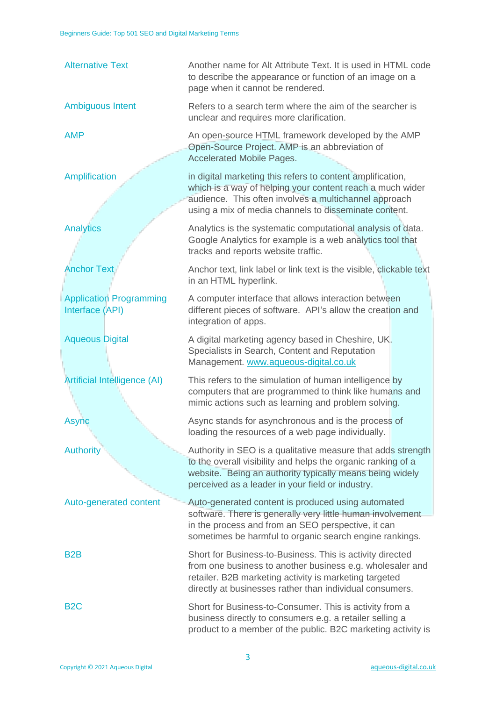| <b>Alternative Text</b>                           | Another name for Alt Attribute Text. It is used in HTML code<br>to describe the appearance or function of an image on a<br>page when it cannot be rendered.                                                                                  |
|---------------------------------------------------|----------------------------------------------------------------------------------------------------------------------------------------------------------------------------------------------------------------------------------------------|
| <b>Ambiguous Intent</b>                           | Refers to a search term where the aim of the searcher is<br>unclear and requires more clarification.                                                                                                                                         |
| <b>AMP</b>                                        | An open-source HTML framework developed by the AMP<br>Open-Source Project. AMP is an abbreviation of<br><b>Accelerated Mobile Pages.</b>                                                                                                     |
| Amplification                                     | in digital marketing this refers to content amplification,<br>which is a way of helping your content reach a much wider<br>audience. This often involves a multichannel approach<br>using a mix of media channels to disseminate content.    |
| <b>Analytics</b>                                  | Analytics is the systematic computational analysis of data.<br>Google Analytics for example is a web analytics tool that<br>tracks and reports website traffic.                                                                              |
| <b>Anchor Text</b>                                | Anchor text, link label or link text is the visible, clickable text<br>in an HTML hyperlink.                                                                                                                                                 |
| <b>Application Programming</b><br>Interface (API) | A computer interface that allows interaction between<br>different pieces of software. API's allow the creation and<br>integration of apps.                                                                                                   |
| <b>Aqueous Digital</b>                            | A digital marketing agency based in Cheshire, UK.<br>Specialists in Search, Content and Reputation<br>Management. www.aqueous-digital.co.uk                                                                                                  |
| <b>Artificial Intelligence (AI)</b>               | This refers to the simulation of human intelligence by<br>computers that are programmed to think like humans and<br>mimic actions such as learning and problem solving.                                                                      |
| Async                                             | Async stands for asynchronous and is the process of<br>loading the resources of a web page individually.                                                                                                                                     |
| <b>Authority</b>                                  | Authority in SEO is a qualitative measure that adds strength<br>to the overall visibility and helps the organic ranking of a<br>website. Being an authority typically means being widely<br>perceived as a leader in your field or industry. |
| Auto-generated content                            | Auto-generated content is produced using automated<br>software. There is generally very little human involvement                                                                                                                             |
|                                                   | in the process and from an SEO perspective, it can<br>sometimes be harmful to organic search engine rankings.                                                                                                                                |
| B <sub>2</sub> B                                  | Short for Business-to-Business. This is activity directed<br>from one business to another business e.g. wholesaler and<br>retailer. B2B marketing activity is marketing targeted<br>directly at businesses rather than individual consumers. |
| B <sub>2</sub> C                                  | Short for Business-to-Consumer. This is activity from a<br>business directly to consumers e.g. a retailer selling a<br>product to a member of the public. B2C marketing activity is                                                          |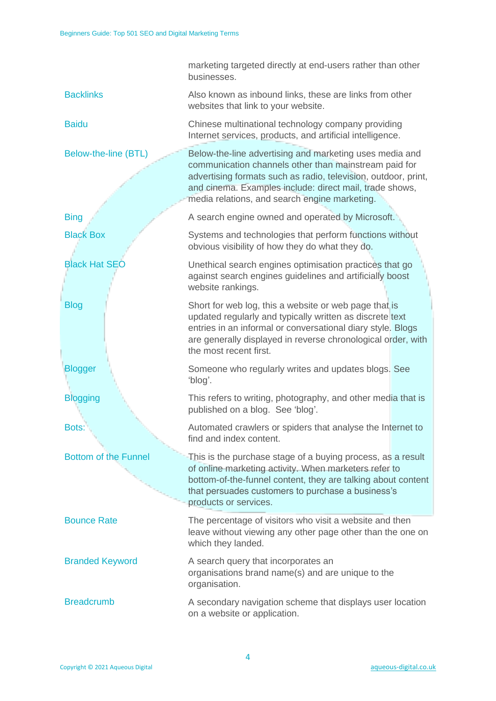|                             | marketing targeted directly at end-users rather than other<br>businesses.                                                                                                                                                                                                                      |
|-----------------------------|------------------------------------------------------------------------------------------------------------------------------------------------------------------------------------------------------------------------------------------------------------------------------------------------|
| <b>Backlinks</b>            | Also known as inbound links, these are links from other<br>websites that link to your website.                                                                                                                                                                                                 |
| <b>Baidu</b>                | Chinese multinational technology company providing<br>Internet services, products, and artificial intelligence.                                                                                                                                                                                |
| Below-the-line (BTL)        | Below-the-line advertising and marketing uses media and<br>communication channels other than mainstream paid for<br>advertising formats such as radio, television, outdoor, print,<br>and cinema. Examples include: direct mail, trade shows,<br>media relations, and search engine marketing. |
| <b>Bing</b>                 | A search engine owned and operated by Microsoft.                                                                                                                                                                                                                                               |
| <b>Black Box</b>            | Systems and technologies that perform functions without<br>obvious visibility of how they do what they do.                                                                                                                                                                                     |
| <b>Black Hat SEO</b>        | Unethical search engines optimisation practices that go<br>against search engines guidelines and artificially boost<br>website rankings.                                                                                                                                                       |
| <b>Blog</b>                 | Short for web log, this a website or web page that is<br>updated regularly and typically written as discrete text<br>entries in an informal or conversational diary style. Blogs<br>are generally displayed in reverse chronological order, with<br>the most recent first.                     |
| <b>Blogger</b>              | Someone who regularly writes and updates blogs. See<br>'blog'.                                                                                                                                                                                                                                 |
| <b>Blogging</b>             | This refers to writing, photography, and other media that is<br>published on a blog. See 'blog'.                                                                                                                                                                                               |
| Bots:                       | Automated crawlers or spiders that analyse the Internet to<br>find and index content.                                                                                                                                                                                                          |
| <b>Bottom of the Funnel</b> | This is the purchase stage of a buying process, as a result<br>of online marketing activity. When marketers refer to<br>bottom-of-the-funnel content, they are talking about content<br>that persuades customers to purchase a business's<br>products or services.                             |
| <b>Bounce Rate</b>          | The percentage of visitors who visit a website and then<br>leave without viewing any other page other than the one on<br>which they landed.                                                                                                                                                    |
| <b>Branded Keyword</b>      | A search query that incorporates an<br>organisations brand name(s) and are unique to the<br>organisation.                                                                                                                                                                                      |
| <b>Breadcrumb</b>           | A secondary navigation scheme that displays user location<br>on a website or application.                                                                                                                                                                                                      |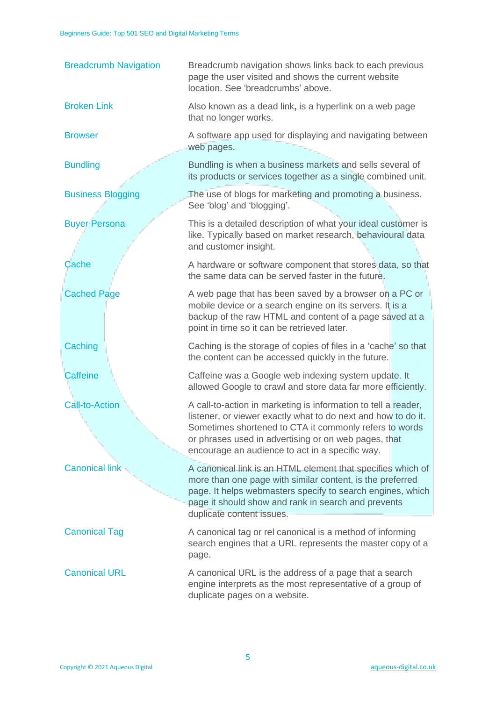| <b>Breadcrumb Navigation</b> | Breadcrumb navigation shows links back to each previous<br>page the user visited and shows the current website<br>location. See 'breadcrumbs' above.                                                                                                                                                 |
|------------------------------|------------------------------------------------------------------------------------------------------------------------------------------------------------------------------------------------------------------------------------------------------------------------------------------------------|
| <b>Broken Link</b>           | Also known as a dead link, is a hyperlink on a web page<br>that no longer works.                                                                                                                                                                                                                     |
| <b>Browser</b>               | A software app used for displaying and navigating between<br>web pages.                                                                                                                                                                                                                              |
| <b>Bundling</b>              | Bundling is when a business markets and sells several of<br>its products or services together as a single combined unit.                                                                                                                                                                             |
| <b>Business Blogging</b>     | The use of blogs for marketing and promoting a business.<br>See 'blog' and 'blogging'.                                                                                                                                                                                                               |
| <b>Buyer Persona</b>         | This is a detailed description of what your ideal customer is<br>like. Typically based on market research, behavioural data<br>and customer insight.                                                                                                                                                 |
| Cache                        | A hardware or software component that stores data, so that<br>the same data can be served faster in the future.                                                                                                                                                                                      |
| <b>Cached Page</b>           | A web page that has been saved by a browser on a PC or<br>mobile device or a search engine on its servers. It is a<br>backup of the raw HTML and content of a page saved at a<br>point in time so it can be retrieved later.                                                                         |
| Caching                      | Caching is the storage of copies of files in a 'cache' so that<br>the content can be accessed quickly in the future.                                                                                                                                                                                 |
| <b>Caffeine</b>              | Caffeine was a Google web indexing system update. It<br>allowed Google to crawl and store data far more efficiently.                                                                                                                                                                                 |
| <b>Call-to-Action</b>        | A call-to-action in marketing is information to tell a reader,<br>listener, or viewer exactly what to do next and how to do it.<br>Sometimes shortened to CTA it commonly refers to words<br>or phrases used in advertising or on web pages, that<br>encourage an audience to act in a specific way. |
| <b>Canonical link</b>        | A canonical link is an HTML element that specifies which of<br>more than one page with similar content, is the preferred<br>page. It helps webmasters specify to search engines, which<br>page it should show and rank in search and prevents<br>duplicate content issues.                           |
| <b>Canonical Tag</b>         | A canonical tag or rel canonical is a method of informing<br>search engines that a URL represents the master copy of a<br>page.                                                                                                                                                                      |
| <b>Canonical URL</b>         | A canonical URL is the address of a page that a search<br>engine interprets as the most representative of a group of<br>duplicate pages on a website.                                                                                                                                                |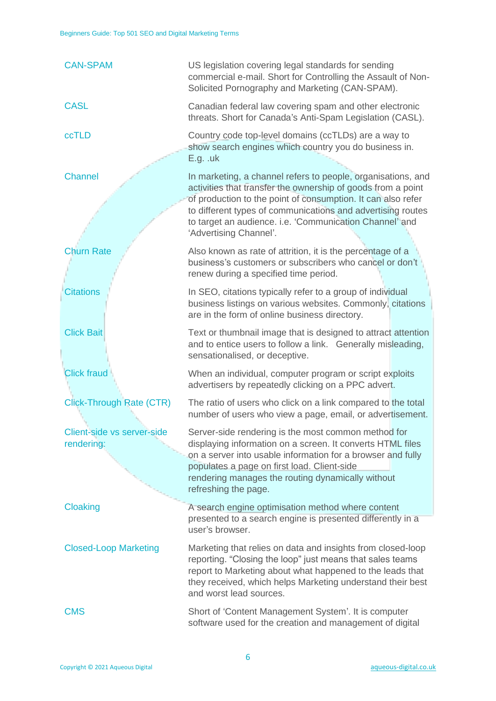| <b>CAN-SPAM</b>                          | US legislation covering legal standards for sending<br>commercial e-mail. Short for Controlling the Assault of Non-<br>Solicited Pornography and Marketing (CAN-SPAM).                                                                                                                                                                           |
|------------------------------------------|--------------------------------------------------------------------------------------------------------------------------------------------------------------------------------------------------------------------------------------------------------------------------------------------------------------------------------------------------|
| <b>CASL</b>                              | Canadian federal law covering spam and other electronic<br>threats. Short for Canada's Anti-Spam Legislation (CASL).                                                                                                                                                                                                                             |
| <b>ccTLD</b>                             | Country code top-level domains (ccTLDs) are a way to<br>show search engines which country you do business in.<br>E.g. u                                                                                                                                                                                                                          |
| <b>Channel</b>                           | In marketing, a channel refers to people, organisations, and<br>activities that transfer the ownership of goods from a point<br>of production to the point of consumption. It can also refer<br>to different types of communications and advertising routes<br>to target an audience. i.e. 'Communication Channel' and<br>'Advertising Channel'. |
| <b>Churn Rate</b>                        | Also known as rate of attrition, it is the percentage of a<br>business's customers or subscribers who cancel or don't<br>renew during a specified time period.                                                                                                                                                                                   |
| <b>Citations</b>                         | In SEO, citations typically refer to a group of individual<br>business listings on various websites. Commonly, citations<br>are in the form of online business directory.                                                                                                                                                                        |
| <b>Click Bait</b>                        | Text or thumbnail image that is designed to attract attention<br>and to entice users to follow a link. Generally misleading,<br>sensationalised, or deceptive.                                                                                                                                                                                   |
| <b>Click fraud</b>                       | When an individual, computer program or script exploits<br>advertisers by repeatedly clicking on a PPC advert.                                                                                                                                                                                                                                   |
| <b>Click-Through Rate (CTR)</b>          | The ratio of users who click on a link compared to the total<br>number of users who view a page, email, or advertisement.                                                                                                                                                                                                                        |
| Client-side vs server-side<br>rendering: | Server-side rendering is the most common method for<br>displaying information on a screen. It converts HTML files<br>on a server into usable information for a browser and fully<br>populates a page on first load. Client-side<br>rendering manages the routing dynamically without<br>refreshing the page.                                     |
| Cloaking                                 | A search engine optimisation method where content<br>presented to a search engine is presented differently in a                                                                                                                                                                                                                                  |
| <b>Closed-Loop Marketing</b>             | user's browser.<br>Marketing that relies on data and insights from closed-loop<br>reporting. "Closing the loop" just means that sales teams<br>report to Marketing about what happened to the leads that<br>they received, which helps Marketing understand their best<br>and worst lead sources.                                                |
| <b>CMS</b>                               | Short of 'Content Management System'. It is computer<br>software used for the creation and management of digital                                                                                                                                                                                                                                 |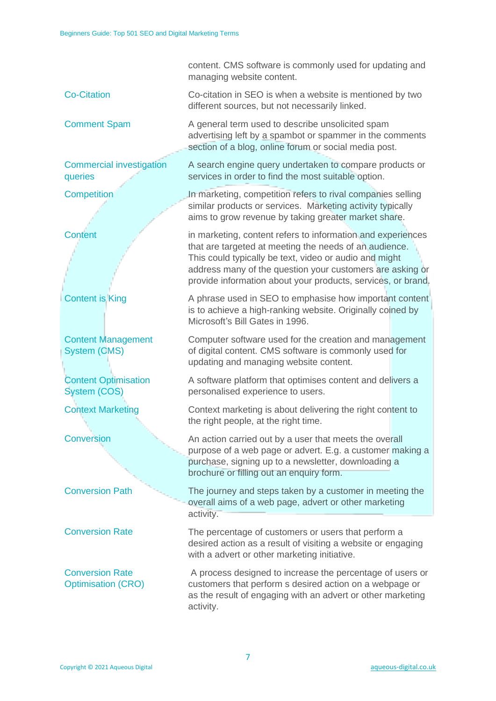|                                                     | content. CMS software is commonly used for updating and<br>managing website content.                                                                                                                                                                                                                         |
|-----------------------------------------------------|--------------------------------------------------------------------------------------------------------------------------------------------------------------------------------------------------------------------------------------------------------------------------------------------------------------|
| <b>Co-Citation</b>                                  | Co-citation in SEO is when a website is mentioned by two<br>different sources, but not necessarily linked.                                                                                                                                                                                                   |
| <b>Comment Spam</b>                                 | A general term used to describe unsolicited spam<br>advertising left by a spambot or spammer in the comments<br>section of a blog, online forum or social media post.                                                                                                                                        |
| <b>Commercial investigation</b><br>queries          | A search engine query undertaken to compare products or<br>services in order to find the most suitable option.                                                                                                                                                                                               |
| Competition                                         | In marketing, competition refers to rival companies selling<br>similar products or services. Marketing activity typically<br>aims to grow revenue by taking greater market share.                                                                                                                            |
| Content                                             | in marketing, content refers to information and experiences<br>that are targeted at meeting the needs of an audience.<br>This could typically be text, video or audio and might<br>address many of the question your customers are asking or<br>provide information about your products, services, or brand. |
| <b>Content is King</b>                              | A phrase used in SEO to emphasise how important content<br>is to achieve a high-ranking website. Originally coined by<br>Microsoft's Bill Gates in 1996.                                                                                                                                                     |
| <b>Content Management</b><br><b>System (CMS)</b>    | Computer software used for the creation and management<br>of digital content. CMS software is commonly used for<br>updating and managing website content.                                                                                                                                                    |
| <b>Content Optimisation</b><br><b>System (COS)</b>  | A software platform that optimises content and delivers a<br>personalised experience to users.                                                                                                                                                                                                               |
| <b>Context Marketing</b>                            | Context marketing is about delivering the right content to<br>the right people, at the right time.                                                                                                                                                                                                           |
| <b>Conversion</b>                                   | An action carried out by a user that meets the overall<br>purpose of a web page or advert. E.g. a customer making a<br>purchase, signing up to a newsletter, downloading a<br>brochure or filling out an enquiry form.                                                                                       |
| <b>Conversion Path</b>                              | The journey and steps taken by a customer in meeting the<br>overall aims of a web page, advert or other marketing<br>activity.                                                                                                                                                                               |
| <b>Conversion Rate</b>                              | The percentage of customers or users that perform a<br>desired action as a result of visiting a website or engaging<br>with a advert or other marketing initiative.                                                                                                                                          |
| <b>Conversion Rate</b><br><b>Optimisation (CRO)</b> | A process designed to increase the percentage of users or<br>customers that perform s desired action on a webpage or<br>as the result of engaging with an advert or other marketing<br>activity.                                                                                                             |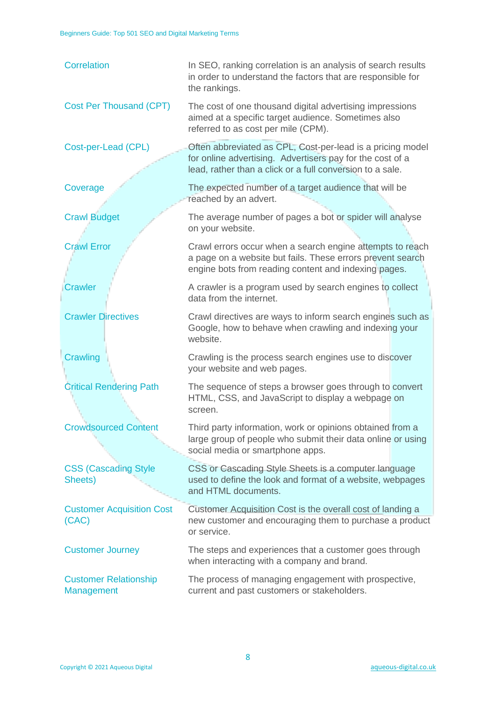| <b>Correlation</b>                         | In SEO, ranking correlation is an analysis of search results<br>in order to understand the factors that are responsible for<br>the rankings.                                         |
|--------------------------------------------|--------------------------------------------------------------------------------------------------------------------------------------------------------------------------------------|
| <b>Cost Per Thousand (CPT)</b>             | The cost of one thousand digital advertising impressions<br>aimed at a specific target audience. Sometimes also<br>referred to as cost per mile (CPM).                               |
| Cost-per-Lead (CPL)                        | Often abbreviated as CPL, Cost-per-lead is a pricing model<br>for online advertising. Advertisers pay for the cost of a<br>lead, rather than a click or a full conversion to a sale. |
| Coverage                                   | The expected number of a target audience that will be<br>reached by an advert.                                                                                                       |
| <b>Crawl Budget</b>                        | The average number of pages a bot or spider will analyse<br>on your website.                                                                                                         |
| <b>Crawl Error</b>                         | Crawl errors occur when a search engine attempts to reach<br>a page on a website but fails. These errors prevent search<br>engine bots from reading content and indexing pages.      |
| <b>Crawler</b>                             | A crawler is a program used by search engines to collect<br>data from the internet.                                                                                                  |
| <b>Crawler Directives</b>                  | Crawl directives are ways to inform search engines such as<br>Google, how to behave when crawling and indexing your<br>website.                                                      |
| Crawling                                   | Crawling is the process search engines use to discover<br>your website and web pages.                                                                                                |
| <b>Critical Rendering Path</b>             | The sequence of steps a browser goes through to convert<br>HTML, CSS, and JavaScript to display a webpage on<br>screen.                                                              |
| <b>Crowdsourced Content</b>                | Third party information, work or opinions obtained from a<br>large group of people who submit their data online or using<br>social media or smartphone apps.                         |
| <b>CSS (Cascading Style</b><br>Sheets)     | CSS or Cascading Style Sheets is a computer language<br>used to define the look and format of a website, webpages<br>and HTML documents.                                             |
| <b>Customer Acquisition Cost</b><br>(CAC)  | Customer Acquisition Cost is the overall cost of landing a<br>new customer and encouraging them to purchase a product<br>or service.                                                 |
| <b>Customer Journey</b>                    | The steps and experiences that a customer goes through<br>when interacting with a company and brand.                                                                                 |
| <b>Customer Relationship</b><br>Management | The process of managing engagement with prospective,<br>current and past customers or stakeholders.                                                                                  |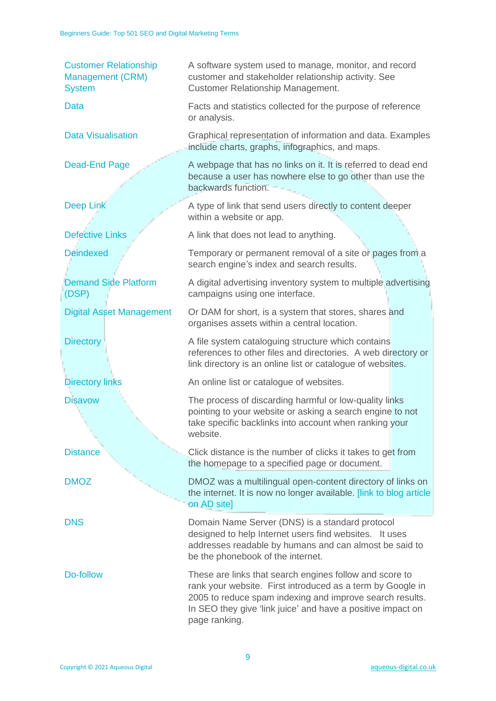| <b>Customer Relationship</b><br>Management (CRM)<br><b>System</b> | A software system used to manage, monitor, and record<br>customer and stakeholder relationship activity. See<br><b>Customer Relationship Management.</b>                                                                                                          |
|-------------------------------------------------------------------|-------------------------------------------------------------------------------------------------------------------------------------------------------------------------------------------------------------------------------------------------------------------|
| <b>Data</b>                                                       | Facts and statistics collected for the purpose of reference<br>or analysis.                                                                                                                                                                                       |
| <b>Data Visualisation</b>                                         | Graphical representation of information and data. Examples<br>include charts, graphs, infographics, and maps.                                                                                                                                                     |
| Dead-End Page                                                     | A webpage that has no links on it. It is referred to dead end<br>because a user has nowhere else to go other than use the<br>backwards function.                                                                                                                  |
| <b>Deep Link</b>                                                  | A type of link that send users directly to content deeper<br>within a website or app.                                                                                                                                                                             |
| <b>Defective Links</b>                                            | A link that does not lead to anything.                                                                                                                                                                                                                            |
| <b>Deindexed</b>                                                  | Temporary or permanent removal of a site or pages from a<br>search engine's index and search results.                                                                                                                                                             |
| <b>Demand Side Platform</b><br>(DSP)                              | A digital advertising inventory system to multiple advertising<br>campaigns using one interface.                                                                                                                                                                  |
| <b>Digital Asset Management</b>                                   | Or DAM for short, is a system that stores, shares and<br>organises assets within a central location.                                                                                                                                                              |
| <b>Directory</b>                                                  | A file system cataloguing structure which contains<br>references to other files and directories. A web directory or<br>link directory is an online list or catalogue of websites.                                                                                 |
| <b>Directory links</b>                                            | An online list or catalogue of websites.                                                                                                                                                                                                                          |
| <b>Disavow</b>                                                    | The process of discarding harmful or low-quality links<br>pointing to your website or asking a search engine to not<br>take specific backlinks into account when ranking your<br>website.                                                                         |
| <b>Distance</b>                                                   | Click distance is the number of clicks it takes to get from<br>the homepage to a specified page or document.                                                                                                                                                      |
| <b>DMOZ</b>                                                       | DMOZ was a multilingual open-content directory of links on<br>the internet. It is now no longer available. [link to blog article]<br>on AD site]                                                                                                                  |
| <b>DNS</b>                                                        | Domain Name Server (DNS) is a standard protocol<br>designed to help Internet users find websites. It uses<br>addresses readable by humans and can almost be said to<br>be the phonebook of the internet.                                                          |
| Do-follow                                                         | These are links that search engines follow and score to<br>rank your website. First introduced as a term by Google in<br>2005 to reduce spam indexing and improve search results.<br>In SEO they give 'link juice' and have a positive impact on<br>page ranking. |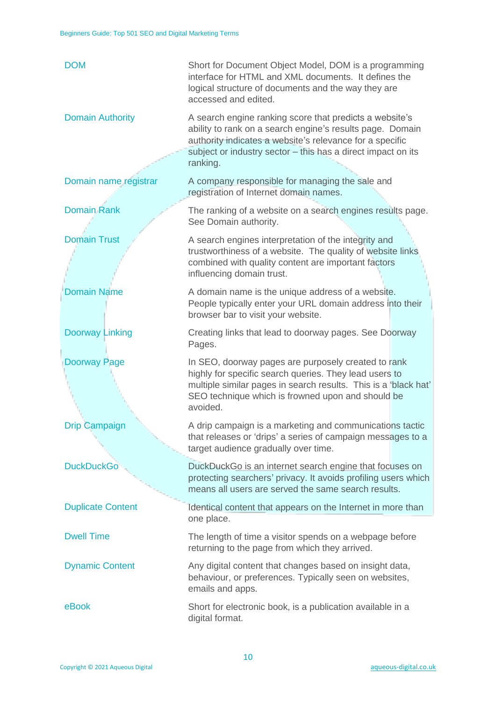| <b>DOM</b>               | Short for Document Object Model, DOM is a programming<br>interface for HTML and XML documents. It defines the<br>logical structure of documents and the way they are<br>accessed and edited.                                                                 |
|--------------------------|--------------------------------------------------------------------------------------------------------------------------------------------------------------------------------------------------------------------------------------------------------------|
| <b>Domain Authority</b>  | A search engine ranking score that predicts a website's<br>ability to rank on a search engine's results page. Domain<br>authority indicates a website's relevance for a specific<br>subject or industry sector - this has a direct impact on its<br>ranking. |
| Domain name registrar    | A company responsible for managing the sale and<br>registration of Internet domain names.                                                                                                                                                                    |
| <b>Domain Rank</b>       | The ranking of a website on a search engines results page.<br>See Domain authority.                                                                                                                                                                          |
| <b>Domain Trust</b>      | A search engines interpretation of the integrity and<br>trustworthiness of a website. The quality of website links<br>combined with quality content are important factors<br>influencing domain trust.                                                       |
| <b>Domain Name</b>       | A domain name is the unique address of a website.<br>People typically enter your URL domain address into their<br>browser bar to visit your website.                                                                                                         |
| <b>Doorway Linking</b>   | Creating links that lead to doorway pages. See Doorway<br>Pages.                                                                                                                                                                                             |
| <b>Doorway Page</b>      | In SEO, doorway pages are purposely created to rank<br>highly for specific search queries. They lead users to<br>multiple similar pages in search results. This is a 'black hat'<br>SEO technique which is frowned upon and should be<br>avoided.            |
| <b>Drip Campaign</b>     | A drip campaign is a marketing and communications tactic<br>that releases or 'drips' a series of campaign messages to a<br>target audience gradually over time.                                                                                              |
| <b>DuckDuckGo</b>        | DuckDuckGo is an internet search engine that focuses on<br>protecting searchers' privacy. It avoids profiling users which<br>means all users are served the same search results.                                                                             |
| <b>Duplicate Content</b> | Identical content that appears on the Internet in more than<br>one place.                                                                                                                                                                                    |
| <b>Dwell Time</b>        | The length of time a visitor spends on a webpage before<br>returning to the page from which they arrived.                                                                                                                                                    |
| <b>Dynamic Content</b>   | Any digital content that changes based on insight data,<br>behaviour, or preferences. Typically seen on websites,<br>emails and apps.                                                                                                                        |
| eBook                    | Short for electronic book, is a publication available in a<br>digital format.                                                                                                                                                                                |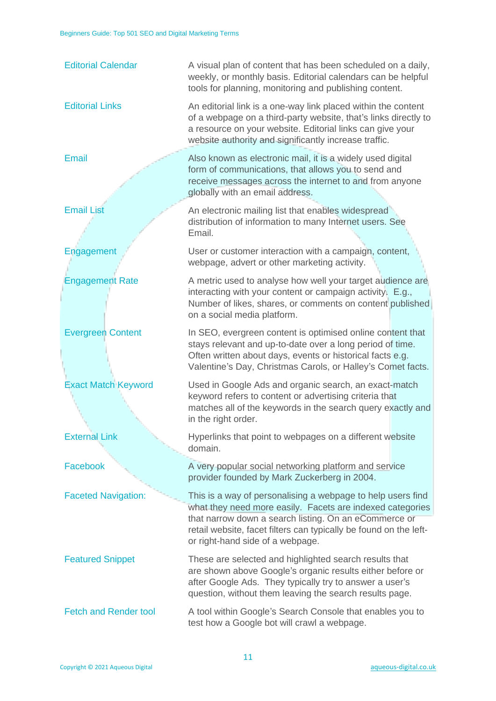| <b>Editorial Calendar</b>    | A visual plan of content that has been scheduled on a daily,<br>weekly, or monthly basis. Editorial calendars can be helpful<br>tools for planning, monitoring and publishing content.                                                                                                     |
|------------------------------|--------------------------------------------------------------------------------------------------------------------------------------------------------------------------------------------------------------------------------------------------------------------------------------------|
| <b>Editorial Links</b>       | An editorial link is a one-way link placed within the content<br>of a webpage on a third-party website, that's links directly to<br>a resource on your website. Editorial links can give your<br>website authority and significantly increase traffic.                                     |
| <b>Email</b>                 | Also known as electronic mail, it is a widely used digital<br>form of communications, that allows you to send and<br>receive messages across the internet to and from anyone<br>globally with an email address.                                                                            |
| <b>Email List</b>            | An electronic mailing list that enables widespread<br>distribution of information to many Internet users. See<br>Email.                                                                                                                                                                    |
| Engagement                   | User or customer interaction with a campaign, content,<br>webpage, advert or other marketing activity.                                                                                                                                                                                     |
| <b>Engagement Rate</b>       | A metric used to analyse how well your target audience are<br>interacting with your content or campaign activity. E.g.,<br>Number of likes, shares, or comments on content published<br>on a social media platform.                                                                        |
| <b>Evergreen Content</b>     | In SEO, evergreen content is optimised online content that<br>stays relevant and up-to-date over a long period of time.<br>Often written about days, events or historical facts e.g.<br>Valentine's Day, Christmas Carols, or Halley's Comet facts.                                        |
| <b>Exact Match Keyword</b>   | Used in Google Ads and organic search, an exact-match<br>keyword refers to content or advertising criteria that<br>matches all of the keywords in the search query exactly and<br>in the right order.                                                                                      |
| <b>External Link</b>         | Hyperlinks that point to webpages on a different website<br>domain.                                                                                                                                                                                                                        |
| Facebook                     | A very popular social networking platform and service<br>provider founded by Mark Zuckerberg in 2004.                                                                                                                                                                                      |
| <b>Faceted Navigation:</b>   | This is a way of personalising a webpage to help users find<br>what they need more easily. Facets are indexed categories<br>that narrow down a search listing. On an eCommerce or<br>retail website, facet filters can typically be found on the left-<br>or right-hand side of a webpage. |
| <b>Featured Snippet</b>      | These are selected and highlighted search results that<br>are shown above Google's organic results either before or<br>after Google Ads. They typically try to answer a user's<br>question, without them leaving the search results page.                                                  |
| <b>Fetch and Render tool</b> | A tool within Google's Search Console that enables you to<br>test how a Google bot will crawl a webpage.                                                                                                                                                                                   |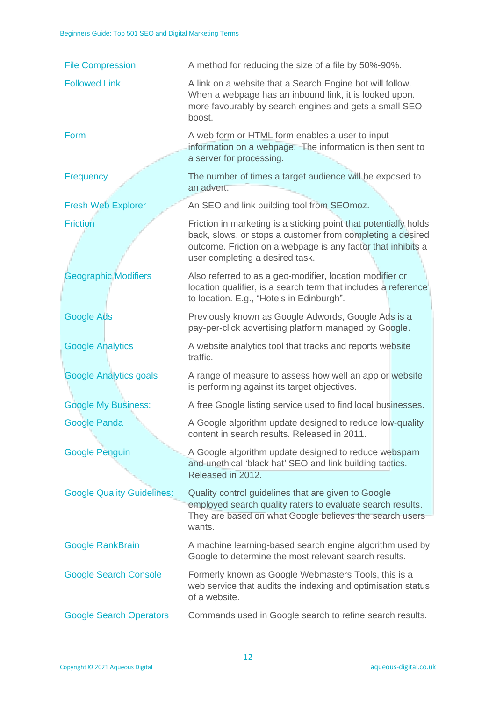| <b>File Compression</b>           | A method for reducing the size of a file by 50%-90%.                                                                                                                                                                              |
|-----------------------------------|-----------------------------------------------------------------------------------------------------------------------------------------------------------------------------------------------------------------------------------|
| <b>Followed Link</b>              | A link on a website that a Search Engine bot will follow.<br>When a webpage has an inbound link, it is looked upon.<br>more favourably by search engines and gets a small SEO<br>boost.                                           |
| Form                              | A web form or HTML form enables a user to input<br>information on a webpage. The information is then sent to<br>a server for processing.                                                                                          |
| Frequency                         | The number of times a target audience will be exposed to<br>an advert.                                                                                                                                                            |
| <b>Fresh Web Explorer</b>         | An SEO and link building tool from SEOmoz.                                                                                                                                                                                        |
| <b>Friction</b>                   | Friction in marketing is a sticking point that potentially holds<br>back, slows, or stops a customer from completing a desired<br>outcome. Friction on a webpage is any factor that inhibits a<br>user completing a desired task. |
| <b>Geographic Modifiers</b>       | Also referred to as a geo-modifier, location modifier or<br>location qualifier, is a search term that includes a reference<br>to location. E.g., "Hotels in Edinburgh".                                                           |
| Google Ads                        | Previously known as Google Adwords, Google Ads is a<br>pay-per-click advertising platform managed by Google.                                                                                                                      |
| <b>Google Analytics</b>           | A website analytics tool that tracks and reports website<br>traffic.                                                                                                                                                              |
| <b>Google Analytics goals</b>     | A range of measure to assess how well an app or website<br>is performing against its target objectives.                                                                                                                           |
| <b>Google My Business:</b>        | A free Google listing service used to find local businesses.                                                                                                                                                                      |
| <b>Google Panda</b>               | A Google algorithm update designed to reduce low-quality<br>content in search results. Released in 2011.                                                                                                                          |
| <b>Google Penguin</b>             | A Google algorithm update designed to reduce webspam<br>and unethical 'black hat' SEO and link building tactics.<br>Released in 2012.                                                                                             |
| <b>Google Quality Guidelines:</b> | Quality control guidelines that are given to Google<br>employed search quality raters to evaluate search results.<br>They are based on what Google believes the search users<br>wants.                                            |
| <b>Google RankBrain</b>           | A machine learning-based search engine algorithm used by<br>Google to determine the most relevant search results.                                                                                                                 |
| <b>Google Search Console</b>      | Formerly known as Google Webmasters Tools, this is a<br>web service that audits the indexing and optimisation status<br>of a website.                                                                                             |
| <b>Google Search Operators</b>    | Commands used in Google search to refine search results.                                                                                                                                                                          |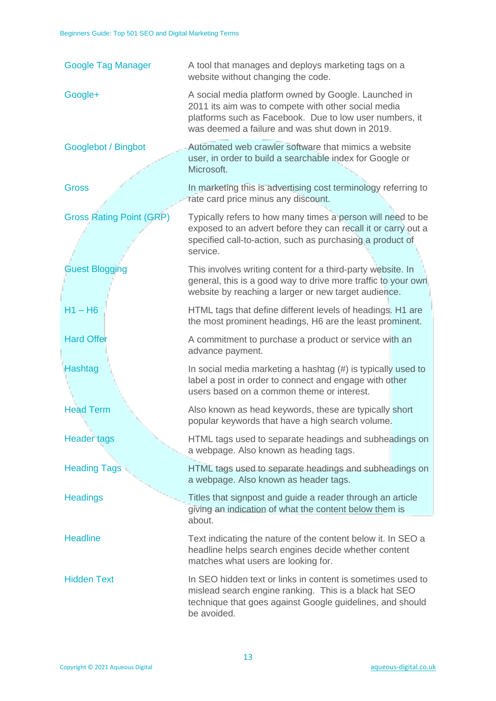| <b>Google Tag Manager</b>       | A tool that manages and deploys marketing tags on a<br>website without changing the code.                                                                                                                                 |
|---------------------------------|---------------------------------------------------------------------------------------------------------------------------------------------------------------------------------------------------------------------------|
| Google+                         | A social media platform owned by Google. Launched in<br>2011 its aim was to compete with other social media<br>platforms such as Facebook. Due to low user numbers, it<br>was deemed a failure and was shut down in 2019. |
| Googlebot / Bingbot             | Automated web crawler software that mimics a website<br>user, in order to build a searchable index for Google or<br>Microsoft.                                                                                            |
| <b>Gross</b>                    | In marketing this is advertising cost terminology referring to<br>rate card price minus any discount.                                                                                                                     |
| <b>Gross Rating Point (GRP)</b> | Typically refers to how many times a person will need to be<br>exposed to an advert before they can recall it or carry out a<br>specified call-to-action, such as purchasing a product of<br>service.                     |
| <b>Guest Blogging</b>           | This involves writing content for a third-party website. In<br>general, this is a good way to drive more traffic to your own<br>website by reaching a larger or new target audience.                                      |
| $H1 - H6$                       | HTML tags that define different levels of headings. H1 are<br>the most prominent headings, H6 are the least prominent.                                                                                                    |
| <b>Hard Offer</b>               | A commitment to purchase a product or service with an<br>advance payment.                                                                                                                                                 |
| Hashtag                         | In social media marketing a hashtag $(\#)$ is typically used to<br>label a post in order to connect and engage with other<br>users based on a common theme or interest.                                                   |
| <b>Head Term</b>                | Also known as head keywords, these are typically short<br>popular keywords that have a high search volume.                                                                                                                |
| <b>Header tags</b>              | HTML tags used to separate headings and subheadings on<br>a webpage. Also known as heading tags.                                                                                                                          |
| <b>Heading Tags</b>             | HTML tags used to separate headings and subheadings on<br>a webpage. Also known as header tags.                                                                                                                           |
| <b>Headings</b>                 | Titles that signpost and guide a reader through an article<br>giving an indication of what the content below them is<br>about.                                                                                            |
| <b>Headline</b>                 | Text indicating the nature of the content below it. In SEO a<br>headline helps search engines decide whether content<br>matches what users are looking for.                                                               |
| <b>Hidden Text</b>              | In SEO hidden text or links in content is sometimes used to<br>mislead search engine ranking. This is a black hat SEO<br>technique that goes against Google guidelines, and should<br>be avoided.                         |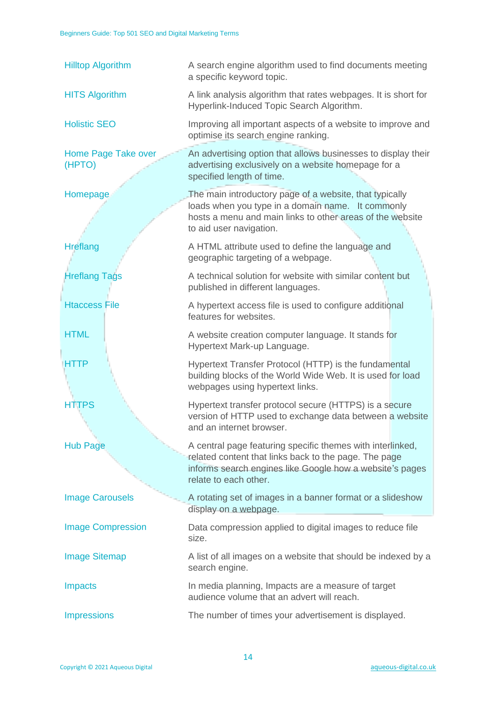| <b>Hilltop Algorithm</b>             | A search engine algorithm used to find documents meeting<br>a specific keyword topic.                                                                                                                    |
|--------------------------------------|----------------------------------------------------------------------------------------------------------------------------------------------------------------------------------------------------------|
| <b>HITS Algorithm</b>                | A link analysis algorithm that rates webpages. It is short for<br>Hyperlink-Induced Topic Search Algorithm.                                                                                              |
| <b>Holistic SEO</b>                  | Improving all important aspects of a website to improve and<br>optimise its search engine ranking.                                                                                                       |
| <b>Home Page Take over</b><br>(HPTO) | An advertising option that allows businesses to display their<br>advertising exclusively on a website homepage for a<br>specified length of time.                                                        |
| Homepage                             | The main introductory page of a website, that typically<br>loads when you type in a domain name. It commonly<br>hosts a menu and main links to other areas of the website<br>to aid user navigation.     |
| <b>Hreflang</b>                      | A HTML attribute used to define the language and<br>geographic targeting of a webpage.                                                                                                                   |
| <b>Hreflang Tags</b>                 | A technical solution for website with similar content but<br>published in different languages.                                                                                                           |
| <b>Htaccess File</b>                 | A hypertext access file is used to configure additional<br>features for websites.                                                                                                                        |
| <b>HTML</b>                          | A website creation computer language. It stands for<br>Hypertext Mark-up Language.                                                                                                                       |
| <b>HTTP</b>                          | Hypertext Transfer Protocol (HTTP) is the fundamental<br>building blocks of the World Wide Web. It is used for load<br>webpages using hypertext links.                                                   |
| <b>HTTPS</b>                         | Hypertext transfer protocol secure (HTTPS) is a secure<br>version of HTTP used to exchange data between a website<br>and an internet browser.                                                            |
| <b>Hub Page</b>                      | A central page featuring specific themes with interlinked,<br>related content that links back to the page. The page<br>informs search engines like Google how a website's pages<br>relate to each other. |
| <b>Image Carousels</b>               | A rotating set of images in a banner format or a slideshow<br>display on a webpage.                                                                                                                      |
| <b>Image Compression</b>             | Data compression applied to digital images to reduce file<br>size.                                                                                                                                       |
| <b>Image Sitemap</b>                 | A list of all images on a website that should be indexed by a<br>search engine.                                                                                                                          |
| <b>Impacts</b>                       | In media planning, Impacts are a measure of target<br>audience volume that an advert will reach.                                                                                                         |
| <b>Impressions</b>                   | The number of times your advertisement is displayed.                                                                                                                                                     |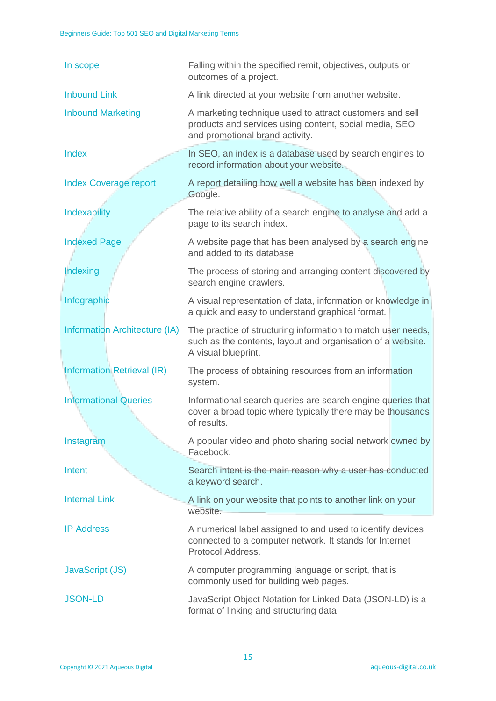| In scope                             | Falling within the specified remit, objectives, outputs or<br>outcomes of a project.                                                                  |
|--------------------------------------|-------------------------------------------------------------------------------------------------------------------------------------------------------|
| <b>Inbound Link</b>                  | A link directed at your website from another website.                                                                                                 |
| <b>Inbound Marketing</b>             | A marketing technique used to attract customers and sell<br>products and services using content, social media, SEO<br>and promotional brand activity. |
| Index                                | In SEO, an index is a database used by search engines to<br>record information about your website.                                                    |
| <b>Index Coverage report</b>         | A report detailing how well a website has been indexed by<br>Google.                                                                                  |
| Indexability                         | The relative ability of a search engine to analyse and add a<br>page to its search index.                                                             |
| <b>Indexed Page</b>                  | A website page that has been analysed by a search engine<br>and added to its database.                                                                |
| Indexing                             | The process of storing and arranging content discovered by<br>search engine crawlers.                                                                 |
| Infographic                          | A visual representation of data, information or knowledge in<br>a quick and easy to understand graphical format.                                      |
| <b>Information Architecture (IA)</b> | The practice of structuring information to match user needs,<br>such as the contents, layout and organisation of a website.<br>A visual blueprint.    |
| <b>Information Retrieval (IR)</b>    | The process of obtaining resources from an information<br>system.                                                                                     |
| <b>Informational Queries</b>         | Informational search queries are search engine queries that<br>cover a broad topic where typically there may be thousands<br>of results.              |
| Instagram                            | A popular video and photo sharing social network owned by<br>Facebook.                                                                                |
| Intent                               | Search intent is the main reason why a user has conducted<br>a keyword search.                                                                        |
| <b>Internal Link</b>                 | A link on your website that points to another link on your<br>website.                                                                                |
| <b>IP Address</b>                    | A numerical label assigned to and used to identify devices<br>connected to a computer network. It stands for Internet<br>Protocol Address.            |
| JavaScript (JS)                      | A computer programming language or script, that is<br>commonly used for building web pages.                                                           |
| <b>JSON-LD</b>                       | JavaScript Object Notation for Linked Data (JSON-LD) is a<br>format of linking and structuring data                                                   |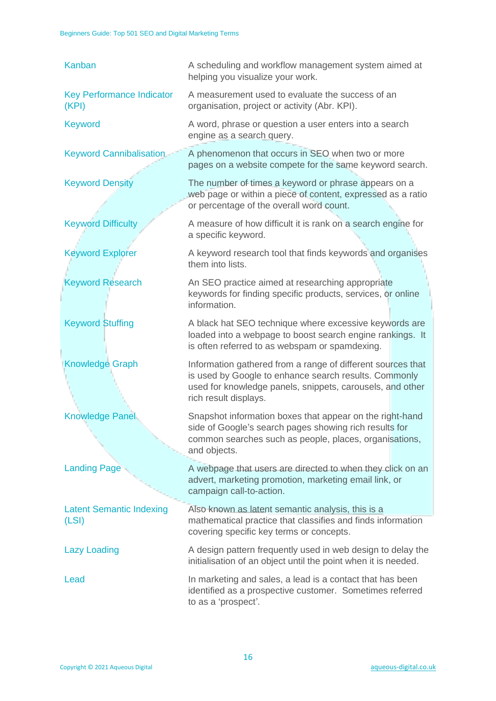| Kanban                                    | A scheduling and workflow management system aimed at<br>helping you visualize your work.                                                                                                                   |
|-------------------------------------------|------------------------------------------------------------------------------------------------------------------------------------------------------------------------------------------------------------|
| <b>Key Performance Indicator</b><br>(KPI) | A measurement used to evaluate the success of an<br>organisation, project or activity (Abr. KPI).                                                                                                          |
| <b>Keyword</b>                            | A word, phrase or question a user enters into a search<br>engine as a search query.                                                                                                                        |
| <b>Keyword Cannibalisation</b>            | A phenomenon that occurs in SEO when two or more<br>pages on a website compete for the same keyword search.                                                                                                |
| <b>Keyword Density</b>                    | The number of times a keyword or phrase appears on a<br>web page or within a piece of content, expressed as a ratio<br>or percentage of the overall word count.                                            |
| <b>Keyword Difficulty</b>                 | A measure of how difficult it is rank on a search engine for<br>a specific keyword.                                                                                                                        |
| <b>Keyword Explorer</b>                   | A keyword research tool that finds keywords and organises<br>them into lists.                                                                                                                              |
| <b>Keyword Research</b>                   | An SEO practice aimed at researching appropriate<br>keywords for finding specific products, services, or online<br>information.                                                                            |
| <b>Keyword Stuffing</b>                   | A black hat SEO technique where excessive keywords are<br>loaded into a webpage to boost search engine rankings. It<br>is often referred to as webspam or spamdexing.                                      |
| <b>Knowledge Graph</b>                    | Information gathered from a range of different sources that<br>is used by Google to enhance search results. Commonly<br>used for knowledge panels, snippets, carousels, and other<br>rich result displays. |
| <b>Knowledge Panel</b>                    | Snapshot information boxes that appear on the right-hand<br>side of Google's search pages showing rich results for<br>common searches such as people, places, organisations,<br>and objects.               |
| <b>Landing Page</b>                       | A webpage that users are directed to when they click on an<br>advert, marketing promotion, marketing email link, or<br>campaign call-to-action.                                                            |
| <b>Latent Semantic Indexing</b><br>(LSI)  | Also known as latent semantic analysis, this is a<br>mathematical practice that classifies and finds information<br>covering specific key terms or concepts.                                               |
| <b>Lazy Loading</b>                       | A design pattern frequently used in web design to delay the<br>initialisation of an object until the point when it is needed.                                                                              |
| Lead                                      | In marketing and sales, a lead is a contact that has been<br>identified as a prospective customer. Sometimes referred<br>to as a 'prospect'.                                                               |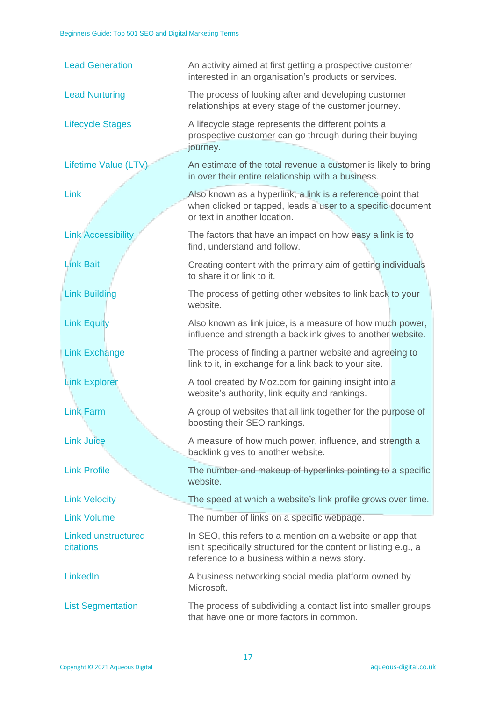| <b>Lead Generation</b>                  | An activity aimed at first getting a prospective customer<br>interested in an organisation's products or services.                                                            |
|-----------------------------------------|-------------------------------------------------------------------------------------------------------------------------------------------------------------------------------|
| <b>Lead Nurturing</b>                   | The process of looking after and developing customer<br>relationships at every stage of the customer journey.                                                                 |
| <b>Lifecycle Stages</b>                 | A lifecycle stage represents the different points a<br>prospective customer can go through during their buying<br>journey.                                                    |
| Lifetime Value (LTV)                    | An estimate of the total revenue a customer is likely to bring<br>in over their entire relationship with a business.                                                          |
| Link                                    | Also known as a hyperlink, a link is a reference point that<br>when clicked or tapped, leads a user to a specific document<br>or text in another location.                    |
| <b>Link Accessibility</b>               | The factors that have an impact on how easy a link is to<br>find, understand and follow.                                                                                      |
| <b>Link Bait</b>                        | Creating content with the primary aim of getting individuals<br>to share it or link to it.                                                                                    |
| <b>Link Building</b>                    | The process of getting other websites to link back to your<br>website.                                                                                                        |
| <b>Link Equity</b>                      | Also known as link juice, is a measure of how much power,<br>influence and strength a backlink gives to another website.                                                      |
| <b>Link Exchange</b>                    | The process of finding a partner website and agreeing to<br>link to it, in exchange for a link back to your site.                                                             |
| <b>Link Explorer</b>                    | A tool created by Moz.com for gaining insight into a<br>website's authority, link equity and rankings.                                                                        |
| <b>Link Farm</b>                        | A group of websites that all link together for the purpose of<br>boosting their SEO rankings.                                                                                 |
| <b>Link Juice</b>                       | A measure of how much power, influence, and strength a<br>backlink gives to another website.                                                                                  |
| <b>Link Profile</b>                     | The number and makeup of hyperlinks pointing to a specific<br>website.                                                                                                        |
| <b>Link Velocity</b>                    | The speed at which a website's link profile grows over time.                                                                                                                  |
| <b>Link Volume</b>                      | The number of links on a specific webpage.                                                                                                                                    |
| <b>Linked unstructured</b><br>citations | In SEO, this refers to a mention on a website or app that<br>isn't specifically structured for the content or listing e.g., a<br>reference to a business within a news story. |
| LinkedIn                                | A business networking social media platform owned by<br>Microsoft.                                                                                                            |
| <b>List Segmentation</b>                | The process of subdividing a contact list into smaller groups<br>that have one or more factors in common.                                                                     |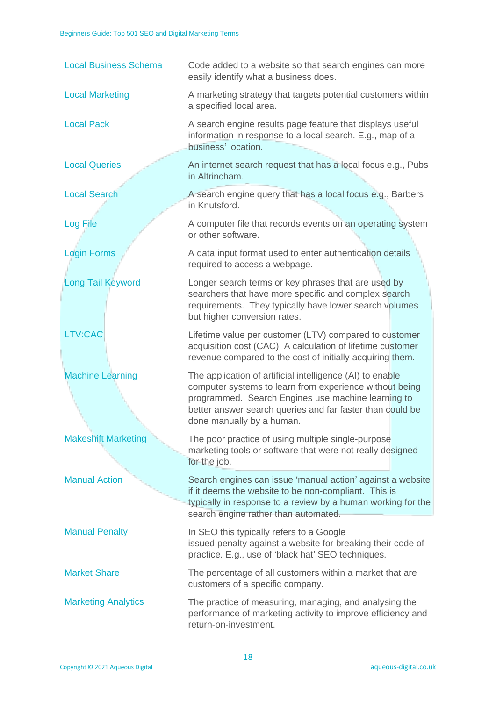| <b>Local Business Schema</b> | Code added to a website so that search engines can more<br>easily identify what a business does.                                                                                                                                                                     |
|------------------------------|----------------------------------------------------------------------------------------------------------------------------------------------------------------------------------------------------------------------------------------------------------------------|
| <b>Local Marketing</b>       | A marketing strategy that targets potential customers within<br>a specified local area.                                                                                                                                                                              |
| <b>Local Pack</b>            | A search engine results page feature that displays useful<br>information in response to a local search. E.g., map of a<br>business' location.                                                                                                                        |
| <b>Local Queries</b>         | An internet search request that has a local focus e.g., Pubs<br>in Altrincham.                                                                                                                                                                                       |
| <b>Local Search</b>          | A search engine query that has a local focus e.g., Barbers<br>in Knutsford.                                                                                                                                                                                          |
| Log File                     | A computer file that records events on an operating system<br>or other software.                                                                                                                                                                                     |
| <b>Login Forms</b>           | A data input format used to enter authentication details<br>required to access a webpage.                                                                                                                                                                            |
| <b>Long Tail Keyword</b>     | Longer search terms or key phrases that are used by<br>searchers that have more specific and complex search<br>requirements. They typically have lower search volumes<br>but higher conversion rates.                                                                |
| LTV:CAC                      | Lifetime value per customer (LTV) compared to customer<br>acquisition cost (CAC). A calculation of lifetime customer<br>revenue compared to the cost of initially acquiring them.                                                                                    |
| <b>Machine Learning</b>      | The application of artificial intelligence (AI) to enable<br>computer systems to learn from experience without being<br>programmed. Search Engines use machine learning to<br>better answer search queries and far faster than could be<br>done manually by a human. |
| <b>Makeshift Marketing</b>   | The poor practice of using multiple single-purpose<br>marketing tools or software that were not really designed<br>for the job.                                                                                                                                      |
| <b>Manual Action</b>         | Search engines can issue 'manual action' against a website<br>if it deems the website to be non-compliant. This is<br>typically in response to a review by a human working for the<br>search engine rather than automated.                                           |
| <b>Manual Penalty</b>        | In SEO this typically refers to a Google<br>issued penalty against a website for breaking their code of<br>practice. E.g., use of 'black hat' SEO techniques.                                                                                                        |
| <b>Market Share</b>          | The percentage of all customers within a market that are<br>customers of a specific company.                                                                                                                                                                         |
| <b>Marketing Analytics</b>   | The practice of measuring, managing, and analysing the<br>performance of marketing activity to improve efficiency and<br>return-on-investment.                                                                                                                       |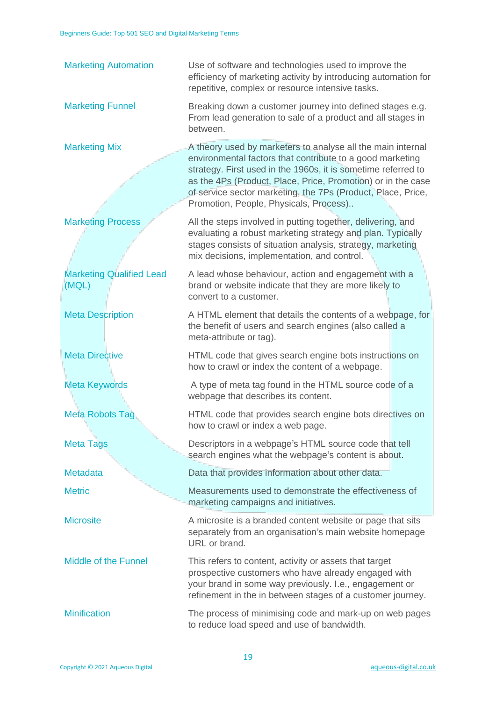| <b>Marketing Automation</b>              | Use of software and technologies used to improve the<br>efficiency of marketing activity by introducing automation for<br>repetitive, complex or resource intensive tasks.                                                                                                                                                                                          |
|------------------------------------------|---------------------------------------------------------------------------------------------------------------------------------------------------------------------------------------------------------------------------------------------------------------------------------------------------------------------------------------------------------------------|
| <b>Marketing Funnel</b>                  | Breaking down a customer journey into defined stages e.g.<br>From lead generation to sale of a product and all stages in<br>between.                                                                                                                                                                                                                                |
| <b>Marketing Mix</b>                     | A theory used by marketers to analyse all the main internal<br>environmental factors that contribute to a good marketing<br>strategy. First used in the 1960s, it is sometime referred to<br>as the 4Ps (Product, Place, Price, Promotion) or in the case<br>of service sector marketing, the 7Ps (Product, Place, Price,<br>Promotion, People, Physicals, Process) |
| <b>Marketing Process</b>                 | All the steps involved in putting together, delivering, and<br>evaluating a robust marketing strategy and plan. Typically<br>stages consists of situation analysis, strategy, marketing<br>mix decisions, implementation, and control.                                                                                                                              |
| <b>Marketing Qualified Lead</b><br>(MQL) | A lead whose behaviour, action and engagement with a<br>brand or website indicate that they are more likely to<br>convert to a customer.                                                                                                                                                                                                                            |
| <b>Meta Description</b>                  | A HTML element that details the contents of a webpage, for<br>the benefit of users and search engines (also called a<br>meta-attribute or tag).                                                                                                                                                                                                                     |
| <b>Meta Directive</b>                    | HTML code that gives search engine bots instructions on<br>how to crawl or index the content of a webpage.                                                                                                                                                                                                                                                          |
| <b>Meta Keywords</b>                     | A type of meta tag found in the HTML source code of a<br>webpage that describes its content.                                                                                                                                                                                                                                                                        |
| <b>Meta Robots Tag</b>                   | HTML code that provides search engine bots directives on<br>how to crawl or index a web page.                                                                                                                                                                                                                                                                       |
| <b>Meta Tags</b>                         | Descriptors in a webpage's HTML source code that tell<br>search engines what the webpage's content is about.                                                                                                                                                                                                                                                        |
| <b>Metadata</b>                          | Data that provides information about other data.                                                                                                                                                                                                                                                                                                                    |
| <b>Metric</b>                            | Measurements used to demonstrate the effectiveness of<br>marketing campaigns and initiatives.                                                                                                                                                                                                                                                                       |
| <b>Microsite</b>                         | A microsite is a branded content website or page that sits<br>separately from an organisation's main website homepage<br>URL or brand.                                                                                                                                                                                                                              |
| <b>Middle of the Funnel</b>              | This refers to content, activity or assets that target<br>prospective customers who have already engaged with<br>your brand in some way previously. I.e., engagement or<br>refinement in the in between stages of a customer journey.                                                                                                                               |
| <b>Minification</b>                      | The process of minimising code and mark-up on web pages<br>to reduce load speed and use of bandwidth.                                                                                                                                                                                                                                                               |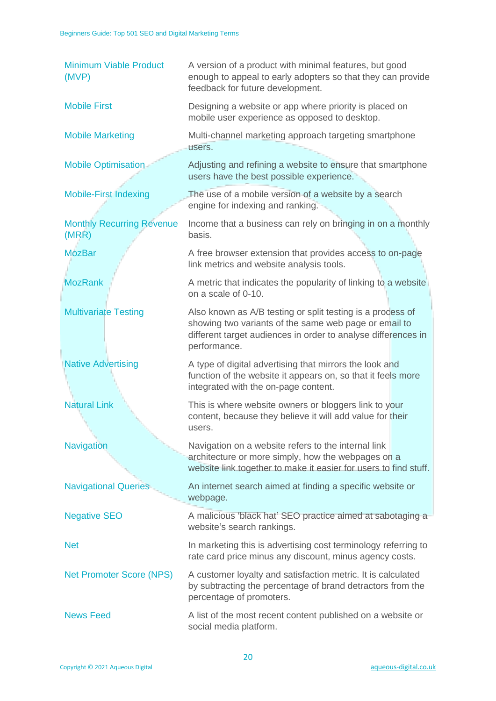| <b>Minimum Viable Product</b><br>(MVP)    | A version of a product with minimal features, but good<br>enough to appeal to early adopters so that they can provide<br>feedback for future development.                                            |
|-------------------------------------------|------------------------------------------------------------------------------------------------------------------------------------------------------------------------------------------------------|
| <b>Mobile First</b>                       | Designing a website or app where priority is placed on<br>mobile user experience as opposed to desktop.                                                                                              |
| <b>Mobile Marketing</b>                   | Multi-channel marketing approach targeting smartphone<br>users.                                                                                                                                      |
| <b>Mobile Optimisation</b>                | Adjusting and refining a website to ensure that smartphone<br>users have the best possible experience.                                                                                               |
| <b>Mobile-First Indexing</b>              | The use of a mobile version of a website by a search<br>engine for indexing and ranking.                                                                                                             |
| <b>Monthly Recurring Revenue</b><br>(MRR) | Income that a business can rely on bringing in on a monthly<br>basis.                                                                                                                                |
| <b>MozBar</b>                             | A free browser extension that provides access to on-page<br>link metrics and website analysis tools.                                                                                                 |
| <b>MozRank</b>                            | A metric that indicates the popularity of linking to a website<br>on a scale of 0-10.                                                                                                                |
| <b>Multivariate Testing</b>               | Also known as A/B testing or split testing is a process of<br>showing two variants of the same web page or email to<br>different target audiences in order to analyse differences in<br>performance. |
| <b>Native Advertising</b>                 | A type of digital advertising that mirrors the look and<br>function of the website it appears on, so that it feels more<br>integrated with the on-page content.                                      |
| <b>Natural Link</b>                       | This is where website owners or bloggers link to your<br>content, because they believe it will add value for their<br>users.                                                                         |
| <b>Navigation</b>                         | Navigation on a website refers to the internal link<br>architecture or more simply, how the webpages on a<br>website link together to make it easier for users to find stuff.                        |
| <b>Navigational Queries</b>               | An internet search aimed at finding a specific website or<br>webpage.                                                                                                                                |
| <b>Negative SEO</b>                       | A malicious 'black hat' SEO practice aimed at sabotaging a<br>website's search rankings.                                                                                                             |
| <b>Net</b>                                | In marketing this is advertising cost terminology referring to<br>rate card price minus any discount, minus agency costs.                                                                            |
| <b>Net Promoter Score (NPS)</b>           | A customer loyalty and satisfaction metric. It is calculated<br>by subtracting the percentage of brand detractors from the<br>percentage of promoters.                                               |
| <b>News Feed</b>                          | A list of the most recent content published on a website or<br>social media platform.                                                                                                                |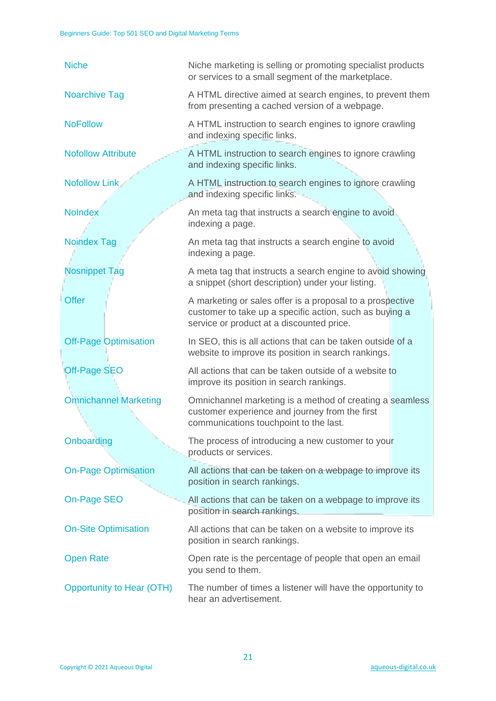| <b>Niche</b>                     | Niche marketing is selling or promoting specialist products<br>or services to a small segment of the marketplace.                                                 |
|----------------------------------|-------------------------------------------------------------------------------------------------------------------------------------------------------------------|
| <b>Noarchive Tag</b>             | A HTML directive aimed at search engines, to prevent them<br>from presenting a cached version of a webpage.                                                       |
| <b>NoFollow</b>                  | A HTML instruction to search engines to ignore crawling<br>and indexing specific links.                                                                           |
| <b>Nofollow Attribute</b>        | A HTML instruction to search engines to ignore crawling<br>and indexing specific links.                                                                           |
| <b>Nofollow Link</b>             | A HTML instruction to search engines to ignore crawling<br>and indexing specific links.                                                                           |
| <b>NoIndex</b>                   | An meta tag that instructs a search engine to avoid<br>indexing a page.                                                                                           |
| <b>Noindex Tag</b>               | An meta tag that instructs a search engine to avoid<br>indexing a page.                                                                                           |
| <b>Nosnippet Tag</b>             | A meta tag that instructs a search engine to avoid showing<br>a snippet (short description) under your listing.                                                   |
| <b>Offer</b>                     | A marketing or sales offer is a proposal to a prospective<br>customer to take up a specific action, such as buying a<br>service or product at a discounted price. |
| <b>Off-Page Optimisation</b>     | In SEO, this is all actions that can be taken outside of a<br>website to improve its position in search rankings.                                                 |
| <b>Off-Page SEO</b>              | All actions that can be taken outside of a website to<br>improve its position in search rankings.                                                                 |
| <b>Omnichannel Marketing</b>     | Omnichannel marketing is a method of creating a seamless<br>customer experience and journey from the first<br>communications touchpoint to the last.              |
| Onboarding                       | The process of introducing a new customer to your<br>products or services.                                                                                        |
| <b>On-Page Optimisation</b>      | All actions that can be taken on a webpage to improve its<br>position in search rankings.                                                                         |
| On-Page SEO                      | All actions that can be taken on a webpage to improve its<br>position in search rankings.                                                                         |
| <b>On-Site Optimisation</b>      | All actions that can be taken on a website to improve its<br>position in search rankings.                                                                         |
| <b>Open Rate</b>                 | Open rate is the percentage of people that open an email<br>you send to them.                                                                                     |
| <b>Opportunity to Hear (OTH)</b> | The number of times a listener will have the opportunity to<br>hear an advertisement.                                                                             |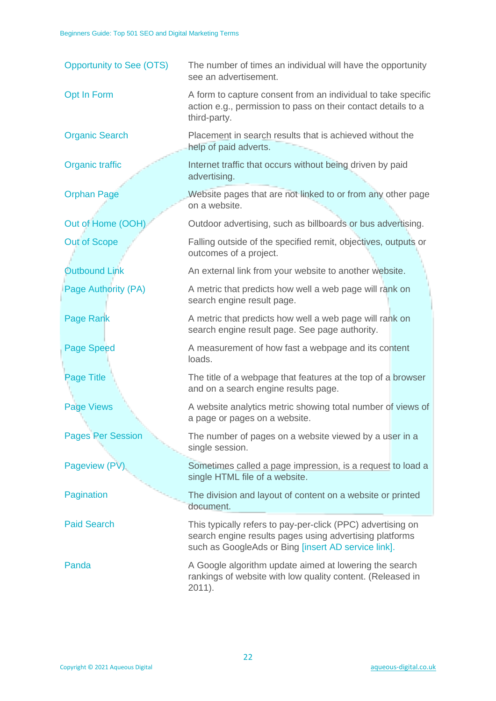| <b>Opportunity to See (OTS)</b> | The number of times an individual will have the opportunity<br>see an advertisement.                                                                                          |
|---------------------------------|-------------------------------------------------------------------------------------------------------------------------------------------------------------------------------|
| Opt In Form                     | A form to capture consent from an individual to take specific<br>action e.g., permission to pass on their contact details to a<br>third-party.                                |
| <b>Organic Search</b>           | Placement in search results that is achieved without the<br>help of paid adverts.                                                                                             |
| Organic traffic                 | Internet traffic that occurs without being driven by paid<br>advertising.                                                                                                     |
| <b>Orphan Page</b>              | Website pages that are not linked to or from any other page<br>on a website.                                                                                                  |
| Out of Home (OOH)               | Outdoor advertising, such as billboards or bus advertising.                                                                                                                   |
| <b>Out of Scope</b>             | Falling outside of the specified remit, objectives, outputs or<br>outcomes of a project.                                                                                      |
| <b>Outbound Link</b>            | An external link from your website to another website.                                                                                                                        |
| <b>Page Authority (PA)</b>      | A metric that predicts how well a web page will rank on<br>search engine result page.                                                                                         |
| Page Rank                       | A metric that predicts how well a web page will rank on<br>search engine result page. See page authority.                                                                     |
| <b>Page Speed</b>               | A measurement of how fast a webpage and its content<br>loads.                                                                                                                 |
| Page Title                      | The title of a webpage that features at the top of a browser<br>and on a search engine results page.                                                                          |
| <b>Page Views</b>               | A website analytics metric showing total number of views of<br>a page or pages on a website.                                                                                  |
| <b>Pages Per Session</b>        | The number of pages on a website viewed by a user in a<br>single session.                                                                                                     |
| Pageview (PV)                   | Sometimes called a page impression, is a request to load a<br>single HTML file of a website.                                                                                  |
| Pagination                      | The division and layout of content on a website or printed<br>document.                                                                                                       |
| <b>Paid Search</b>              | This typically refers to pay-per-click (PPC) advertising on<br>search engine results pages using advertising platforms<br>such as GoogleAds or Bing [insert AD service link]. |
| Panda                           | A Google algorithm update aimed at lowering the search<br>rankings of website with low quality content. (Released in<br>$2011$ ).                                             |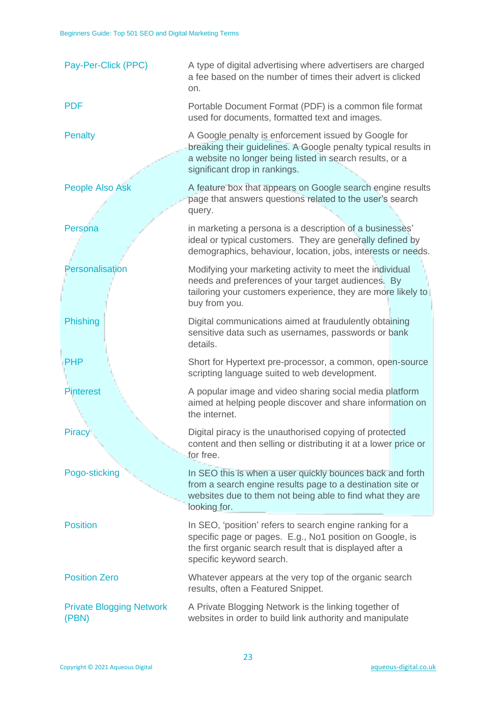| Pay-Per-Click (PPC)                      | A type of digital advertising where advertisers are charged<br>a fee based on the number of times their advert is clicked<br>on.                                                                                    |
|------------------------------------------|---------------------------------------------------------------------------------------------------------------------------------------------------------------------------------------------------------------------|
| <b>PDF</b>                               | Portable Document Format (PDF) is a common file format<br>used for documents, formatted text and images.                                                                                                            |
| <b>Penalty</b>                           | A Google penalty is enforcement issued by Google for<br>breaking their guidelines. A Google penalty typical results in<br>a website no longer being listed in search results, or a<br>significant drop in rankings. |
| <b>People Also Ask</b>                   | A feature box that appears on Google search engine results<br>page that answers questions related to the user's search<br>query.                                                                                    |
| Persona                                  | in marketing a persona is a description of a businesses'<br>ideal or typical customers. They are generally defined by<br>demographics, behaviour, location, jobs, interests or needs.                               |
| Personalisation                          | Modifying your marketing activity to meet the individual<br>needs and preferences of your target audiences. By<br>tailoring your customers experience, they are more likely to<br>buy from you.                     |
| <b>Phishing</b>                          | Digital communications aimed at fraudulently obtaining<br>sensitive data such as usernames, passwords or bank<br>details.                                                                                           |
| <b>PHP</b>                               | Short for Hypertext pre-processor, a common, open-source<br>scripting language suited to web development.                                                                                                           |
| <b>Pinterest</b>                         | A popular image and video sharing social media platform<br>aimed at helping people discover and share information on<br>the internet.                                                                               |
| <b>Piracy</b>                            | Digital piracy is the unauthorised copying of protected<br>content and then selling or distributing it at a lower price or<br>for free.                                                                             |
| Pogo-sticking                            | In SEO this is when a user quickly bounces back and forth<br>from a search engine results page to a destination site or<br>websites due to them not being able to find what they are<br>looking for.                |
| <b>Position</b>                          | In SEO, 'position' refers to search engine ranking for a<br>specific page or pages. E.g., No1 position on Google, is<br>the first organic search result that is displayed after a<br>specific keyword search.       |
| <b>Position Zero</b>                     | Whatever appears at the very top of the organic search<br>results, often a Featured Snippet.                                                                                                                        |
| <b>Private Blogging Network</b><br>(PBN) | A Private Blogging Network is the linking together of<br>websites in order to build link authority and manipulate                                                                                                   |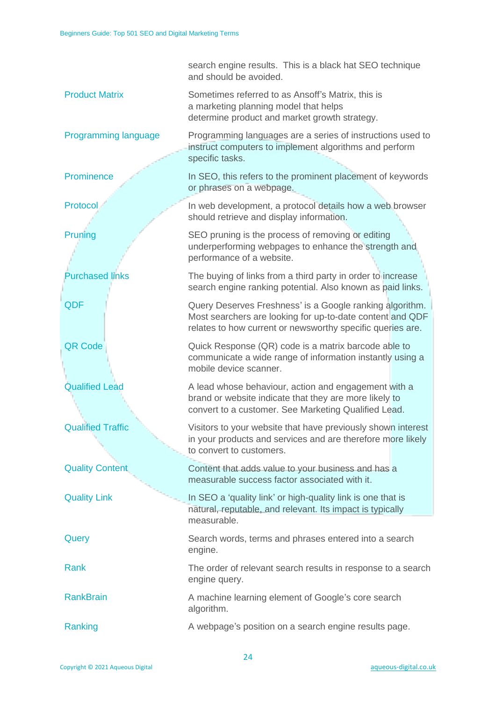|                          | search engine results. This is a black hat SEO technique<br>and should be avoided.                                                                                                  |
|--------------------------|-------------------------------------------------------------------------------------------------------------------------------------------------------------------------------------|
| <b>Product Matrix</b>    | Sometimes referred to as Ansoff's Matrix, this is<br>a marketing planning model that helps<br>determine product and market growth strategy.                                         |
| Programming language     | Programming languages are a series of instructions used to<br>instruct computers to implement algorithms and perform<br>specific tasks.                                             |
| Prominence               | In SEO, this refers to the prominent placement of keywords<br>or phrases on a webpage.                                                                                              |
| Protocol                 | In web development, a protocol details how a web browser<br>should retrieve and display information.                                                                                |
| Pruning                  | SEO pruning is the process of removing or editing<br>underperforming webpages to enhance the strength and<br>performance of a website.                                              |
| <b>Purchased links</b>   | The buying of links from a third party in order to increase<br>search engine ranking potential. Also known as paid links.                                                           |
| QDF                      | Query Deserves Freshness' is a Google ranking algorithm.<br>Most searchers are looking for up-to-date content and QDF<br>relates to how current or newsworthy specific queries are. |
| <b>QR Code</b>           | Quick Response (QR) code is a matrix barcode able to<br>communicate a wide range of information instantly using a<br>mobile device scanner.                                         |
| <b>Qualified Lead</b>    | A lead whose behaviour, action and engagement with a<br>brand or website indicate that they are more likely to<br>convert to a customer. See Marketing Qualified Lead.              |
| <b>Qualified Traffic</b> | Visitors to your website that have previously shown interest<br>in your products and services and are therefore more likely<br>to convert to customers.                             |
| <b>Quality Content</b>   | Content that adds value to your business and has a<br>measurable success factor associated with it.                                                                                 |
| <b>Quality Link</b>      | In SEO a 'quality link' or high-quality link is one that is<br>natural, reputable, and relevant. Its impact is typically<br>measurable.                                             |
| Query                    | Search words, terms and phrases entered into a search<br>engine.                                                                                                                    |
| Rank                     | The order of relevant search results in response to a search<br>engine query.                                                                                                       |
| <b>RankBrain</b>         | A machine learning element of Google's core search<br>algorithm.                                                                                                                    |
| Ranking                  | A webpage's position on a search engine results page.                                                                                                                               |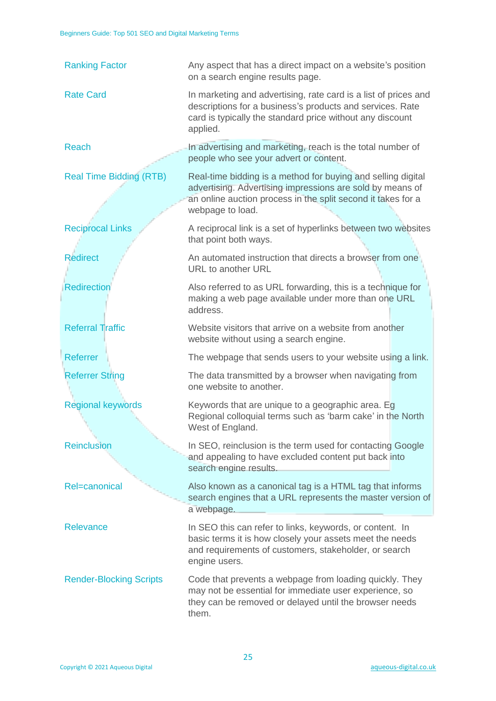| <b>Ranking Factor</b>          | Any aspect that has a direct impact on a website's position<br>on a search engine results page.                                                                                                               |  |
|--------------------------------|---------------------------------------------------------------------------------------------------------------------------------------------------------------------------------------------------------------|--|
| <b>Rate Card</b>               | In marketing and advertising, rate card is a list of prices and<br>descriptions for a business's products and services. Rate<br>card is typically the standard price without any discount<br>applied.         |  |
| <b>Reach</b>                   | In advertising and marketing, reach is the total number of<br>people who see your advert or content.                                                                                                          |  |
| <b>Real Time Bidding (RTB)</b> | Real-time bidding is a method for buying and selling digital<br>advertising. Advertising impressions are sold by means of<br>an online auction process in the split second it takes for a<br>webpage to load. |  |
| <b>Reciprocal Links</b>        | A reciprocal link is a set of hyperlinks between two websites<br>that point both ways.                                                                                                                        |  |
| <b>Redirect</b>                | An automated instruction that directs a browser from one<br>URL to another URL                                                                                                                                |  |
| <b>Redirection</b>             | Also referred to as URL forwarding, this is a technique for<br>making a web page available under more than one URL<br>address.                                                                                |  |
| <b>Referral Traffic</b>        | Website visitors that arrive on a website from another<br>website without using a search engine.                                                                                                              |  |
| <b>Referrer</b>                | The webpage that sends users to your website using a link.                                                                                                                                                    |  |
| <b>Referrer String</b>         | The data transmitted by a browser when navigating from<br>one website to another.                                                                                                                             |  |
| <b>Regional keywords</b>       | Keywords that are unique to a geographic area. Eg<br>Regional colloquial terms such as 'barm cake' in the North<br>West of England.                                                                           |  |
| <b>Reinclusion</b>             | In SEO, reinclusion is the term used for contacting Google<br>and appealing to have excluded content put back into<br>search engine results.                                                                  |  |
| Rel=canonical                  | Also known as a canonical tag is a HTML tag that informs<br>search engines that a URL represents the master version of<br>a webpage.                                                                          |  |
| Relevance                      | In SEO this can refer to links, keywords, or content. In<br>basic terms it is how closely your assets meet the needs<br>and requirements of customers, stakeholder, or search<br>engine users.                |  |
| <b>Render-Blocking Scripts</b> | Code that prevents a webpage from loading quickly. They<br>may not be essential for immediate user experience, so<br>they can be removed or delayed until the browser needs<br>them.                          |  |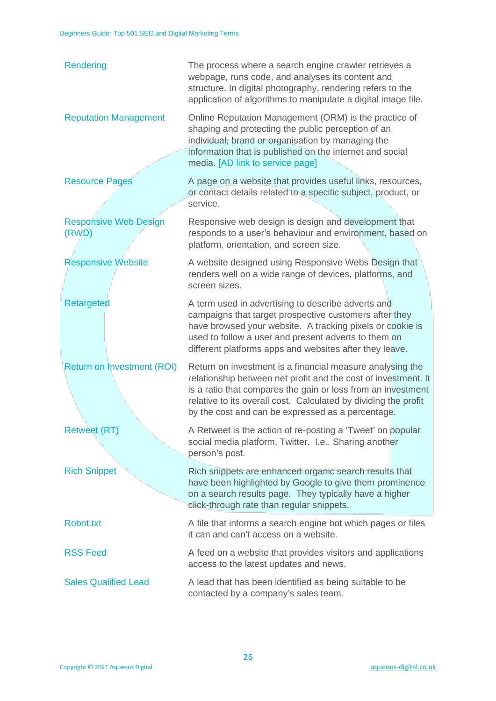| Rendering                             | The process where a search engine crawler retrieves a<br>webpage, runs code, and analyses its content and<br>structure. In digital photography, rendering refers to the<br>application of algorithms to manipulate a digital image file.                                                                            |
|---------------------------------------|---------------------------------------------------------------------------------------------------------------------------------------------------------------------------------------------------------------------------------------------------------------------------------------------------------------------|
| <b>Reputation Management</b>          | Online Reputation Management (ORM) is the practice of<br>shaping and protecting the public perception of an<br>individual, brand or organisation by managing the<br>information that is published on the internet and social<br>media. [AD link to service page]                                                    |
| <b>Resource Pages</b>                 | A page on a website that provides useful links, resources,<br>or contact details related to a specific subject, product, or<br>service.                                                                                                                                                                             |
| <b>Responsive Web Design</b><br>(RWD) | Responsive web design is design and development that<br>responds to a user's behaviour and environment, based on<br>platform, orientation, and screen size.                                                                                                                                                         |
| <b>Responsive Website</b>             | A website designed using Responsive Webs Design that<br>renders well on a wide range of devices, platforms, and<br>screen sizes.                                                                                                                                                                                    |
| <b>Retargeted</b>                     | A term used in advertising to describe adverts and<br>campaigns that target prospective customers after they<br>have browsed your website. A tracking pixels or cookie is<br>used to follow a user and present adverts to them on<br>different platforms apps and websites after they leave.                        |
| <b>Return on Investment (ROI)</b>     | Return on investment is a financial measure analysing the<br>relationship between net profit and the cost of investment. It<br>is a ratio that compares the gain or loss from an investment<br>relative to its overall cost. Calculated by dividing the profit<br>by the cost and can be expressed as a percentage. |
| <b>Retweet (RT)</b>                   | A Retweet is the action of re-posting a 'Tweet' on popular<br>social media platform, Twitter. I.e Sharing another<br>person's post.                                                                                                                                                                                 |
| <b>Rich Snippet</b>                   | Rich snippets are enhanced organic search results that<br>have been highlighted by Google to give them prominence<br>on a search results page. They typically have a higher<br>click-through rate than regular snippets.                                                                                            |
| Robot.txt                             | A file that informs a search engine bot which pages or files<br>it can and can't access on a website.                                                                                                                                                                                                               |
| <b>RSS Feed</b>                       | A feed on a website that provides visitors and applications<br>access to the latest updates and news.                                                                                                                                                                                                               |
| <b>Sales Qualified Lead</b>           | A lead that has been identified as being suitable to be<br>contacted by a company's sales team.                                                                                                                                                                                                                     |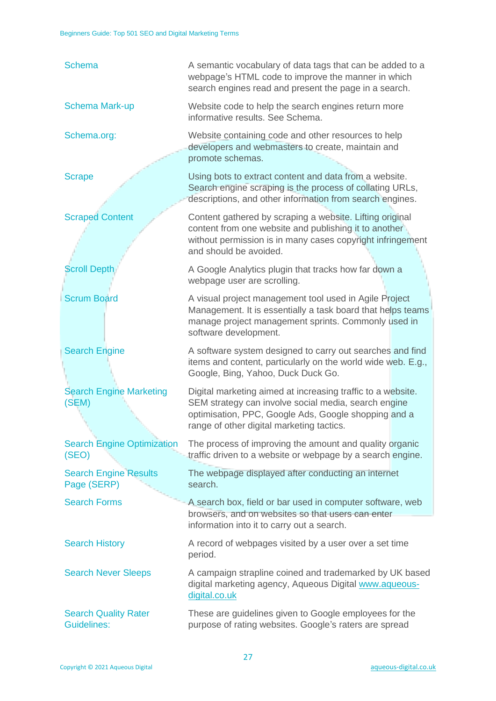| <b>Schema</b>                                     | A semantic vocabulary of data tags that can be added to a<br>webpage's HTML code to improve the manner in which<br>search engines read and present the page in a search.                                                 |  |
|---------------------------------------------------|--------------------------------------------------------------------------------------------------------------------------------------------------------------------------------------------------------------------------|--|
| <b>Schema Mark-up</b>                             | Website code to help the search engines return more<br>informative results. See Schema.                                                                                                                                  |  |
| Schema.org:                                       | Website containing code and other resources to help<br>developers and webmasters to create, maintain and<br>promote schemas.                                                                                             |  |
| <b>Scrape</b>                                     | Using bots to extract content and data from a website.<br>Search engine scraping is the process of collating URLs,<br>descriptions, and other information from search engines.                                           |  |
| <b>Scraped Content</b>                            | Content gathered by scraping a website. Lifting original<br>content from one website and publishing it to another<br>without permission is in many cases copyright infringement<br>and should be avoided.                |  |
| <b>Scroll Depth</b>                               | A Google Analytics plugin that tracks how far down a<br>webpage user are scrolling.                                                                                                                                      |  |
| <b>Scrum Board</b>                                | A visual project management tool used in Agile Project<br>Management. It is essentially a task board that helps teams<br>manage project management sprints. Commonly used in<br>software development.                    |  |
| <b>Search Engine</b>                              | A software system designed to carry out searches and find<br>items and content, particularly on the world wide web. E.g.,<br>Google, Bing, Yahoo, Duck Duck Go.                                                          |  |
| <b>Search Engine Marketing</b><br>(SEM)           | Digital marketing aimed at increasing traffic to a website.<br>SEM strategy can involve social media, search engine<br>optimisation, PPC, Google Ads, Google shopping and a<br>range of other digital marketing tactics. |  |
| <b>Search Engine Optimization</b><br>(SEO)        | The process of improving the amount and quality organic<br>traffic driven to a website or webpage by a search engine.                                                                                                    |  |
| <b>Search Engine Results</b><br>Page (SERP)       | The webpage displayed after conducting an internet<br>search.                                                                                                                                                            |  |
| <b>Search Forms</b>                               | A search box, field or bar used in computer software, web<br>browsers, and on websites so that users can enter<br>information into it to carry out a search.                                                             |  |
| <b>Search History</b>                             | A record of webpages visited by a user over a set time<br>period.                                                                                                                                                        |  |
| <b>Search Never Sleeps</b>                        | A campaign strapline coined and trademarked by UK based<br>digital marketing agency, Aqueous Digital www.aqueous-<br>digital.co.uk                                                                                       |  |
| <b>Search Quality Rater</b><br><b>Guidelines:</b> | These are guidelines given to Google employees for the<br>purpose of rating websites. Google's raters are spread                                                                                                         |  |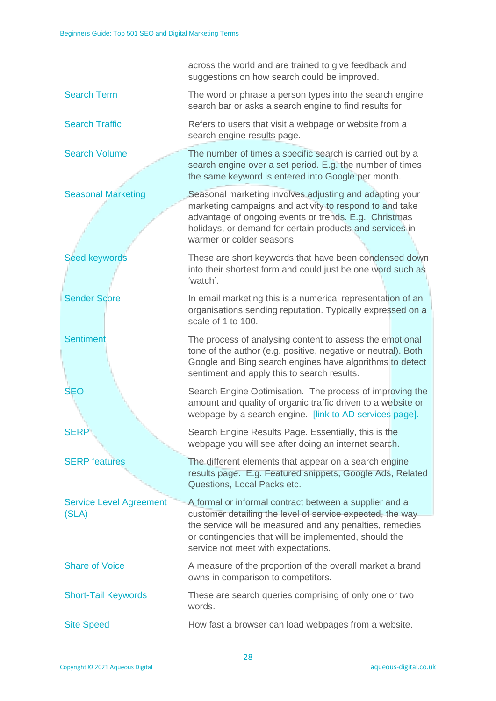|                                         | across the world and are trained to give feedback and<br>suggestions on how search could be improved.                                                                                                                                                                |  |
|-----------------------------------------|----------------------------------------------------------------------------------------------------------------------------------------------------------------------------------------------------------------------------------------------------------------------|--|
| <b>Search Term</b>                      | The word or phrase a person types into the search engine<br>search bar or asks a search engine to find results for.                                                                                                                                                  |  |
| <b>Search Traffic</b>                   | Refers to users that visit a webpage or website from a<br>search engine results page.                                                                                                                                                                                |  |
| <b>Search Volume</b>                    | The number of times a specific search is carried out by a<br>search engine over a set period. E.g. the number of times<br>the same keyword is entered into Google per month.                                                                                         |  |
| <b>Seasonal Marketing</b>               | Seasonal marketing involves adjusting and adapting your<br>marketing campaigns and activity to respond to and take<br>advantage of ongoing events or trends. E.g. Christmas<br>holidays, or demand for certain products and services in<br>warmer or colder seasons. |  |
| <b>Seed keywords</b>                    | These are short keywords that have been condensed down<br>into their shortest form and could just be one word such as<br>'watch'.                                                                                                                                    |  |
| <b>Sender Score</b>                     | In email marketing this is a numerical representation of an<br>organisations sending reputation. Typically expressed on a<br>scale of 1 to 100.                                                                                                                      |  |
| <b>Sentiment</b>                        | The process of analysing content to assess the emotional<br>tone of the author (e.g. positive, negative or neutral). Both<br>Google and Bing search engines have algorithms to detect<br>sentiment and apply this to search results.                                 |  |
| <b>SEO</b>                              | Search Engine Optimisation. The process of improving the<br>amount and quality of organic traffic driven to a website or<br>webpage by a search engine. [link to AD services page].                                                                                  |  |
| <b>SERP</b>                             | Search Engine Results Page. Essentially, this is the<br>webpage you will see after doing an internet search.                                                                                                                                                         |  |
| <b>SERP features</b>                    | The different elements that appear on a search engine<br>results page. E.g. Featured snippets, Google Ads, Related<br>Questions, Local Packs etc.                                                                                                                    |  |
| <b>Service Level Agreement</b><br>(SLA) | A formal or informal contract between a supplier and a<br>customer detailing the level of service expected, the way                                                                                                                                                  |  |
|                                         | the service will be measured and any penalties, remedies<br>or contingencies that will be implemented, should the<br>service not meet with expectations.                                                                                                             |  |
| <b>Share of Voice</b>                   | A measure of the proportion of the overall market a brand<br>owns in comparison to competitors.                                                                                                                                                                      |  |
| <b>Short-Tail Keywords</b>              | These are search queries comprising of only one or two<br>words.                                                                                                                                                                                                     |  |
| <b>Site Speed</b>                       | How fast a browser can load webpages from a website.                                                                                                                                                                                                                 |  |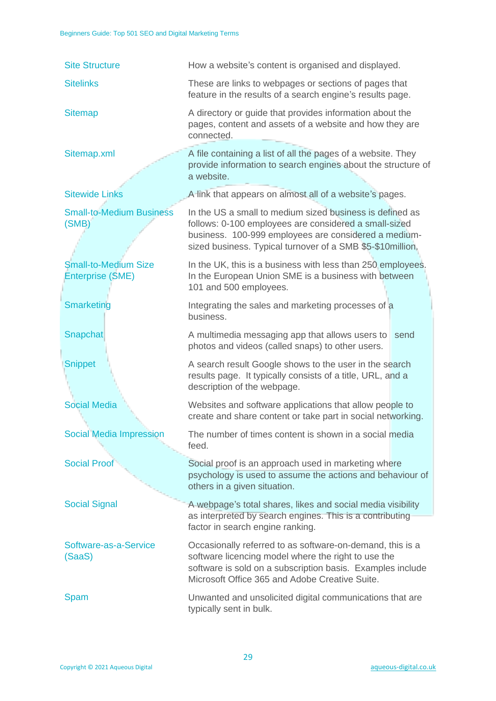| <b>Site Structure</b>                                  | How a website's content is organised and displayed.                                                                                                                                                                                     |  |  |
|--------------------------------------------------------|-----------------------------------------------------------------------------------------------------------------------------------------------------------------------------------------------------------------------------------------|--|--|
| <b>Sitelinks</b>                                       | These are links to webpages or sections of pages that<br>feature in the results of a search engine's results page.                                                                                                                      |  |  |
| <b>Sitemap</b>                                         | A directory or guide that provides information about the<br>pages, content and assets of a website and how they are<br>connected.                                                                                                       |  |  |
| Sitemap.xml                                            | A file containing a list of all the pages of a website. They<br>provide information to search engines about the structure of<br>a website.                                                                                              |  |  |
| <b>Sitewide Links</b>                                  | A link that appears on almost all of a website's pages.                                                                                                                                                                                 |  |  |
| <b>Small-to-Medium Business</b><br>(SMB)               | In the US a small to medium sized business is defined as<br>follows: 0-100 employees are considered a small-sized<br>business. 100-999 employees are considered a medium-<br>sized business. Typical turnover of a SMB \$5-\$10million. |  |  |
| <b>Small-to-Medium Size</b><br><b>Enterprise (SME)</b> | In the UK, this is a business with less than 250 employees.<br>In the European Union SME is a business with between<br>101 and 500 employees.                                                                                           |  |  |
| <b>Smarketing</b>                                      | Integrating the sales and marketing processes of a<br>business.                                                                                                                                                                         |  |  |
| Snapchat                                               | A multimedia messaging app that allows users to<br>send<br>photos and videos (called snaps) to other users.                                                                                                                             |  |  |
| <b>Snippet</b>                                         | A search result Google shows to the user in the search<br>results page. It typically consists of a title, URL, and a<br>description of the webpage.                                                                                     |  |  |
| <b>Social Media</b>                                    | Websites and software applications that allow people to<br>create and share content or take part in social networking.                                                                                                                  |  |  |
| <b>Social Media Impression</b>                         | The number of times content is shown in a social media<br>feed.                                                                                                                                                                         |  |  |
| <b>Social Proof</b>                                    | Social proof is an approach used in marketing where<br>psychology is used to assume the actions and behaviour of<br>others in a given situation.                                                                                        |  |  |
| <b>Social Signal</b>                                   | A webpage's total shares, likes and social media visibility<br>as interpreted by search engines. This is a contributing<br>factor in search engine ranking.                                                                             |  |  |
| Software-as-a-Service<br>(SaaS)                        | Occasionally referred to as software-on-demand, this is a<br>software licencing model where the right to use the<br>software is sold on a subscription basis. Examples include<br>Microsoft Office 365 and Adobe Creative Suite.        |  |  |
| Spam                                                   | Unwanted and unsolicited digital communications that are<br>typically sent in bulk.                                                                                                                                                     |  |  |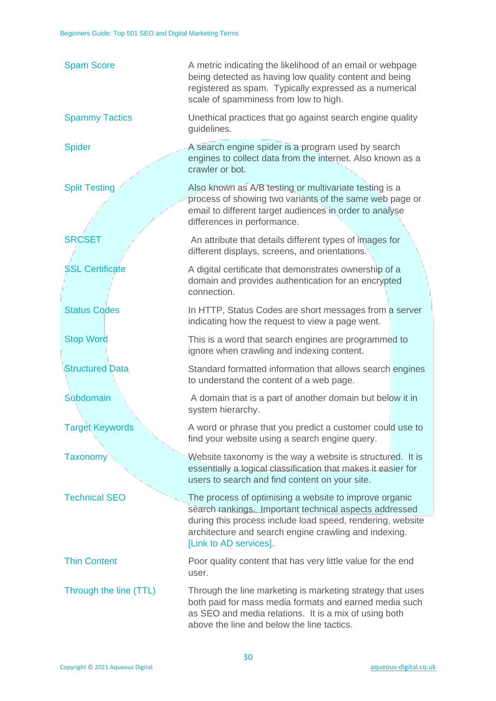| <b>Spam Score</b>      | A metric indicating the likelihood of an email or webpage<br>being detected as having low quality content and being<br>registered as spam. Typically expressed as a numerical<br>scale of spamminess from low to high.                                            |  |
|------------------------|-------------------------------------------------------------------------------------------------------------------------------------------------------------------------------------------------------------------------------------------------------------------|--|
| <b>Spammy Tactics</b>  | Unethical practices that go against search engine quality<br>guidelines.                                                                                                                                                                                          |  |
| <b>Spider</b>          | A search engine spider is a program used by search<br>engines to collect data from the internet. Also known as a<br>crawler or bot.                                                                                                                               |  |
| <b>Split Testing</b>   | Also known as A/B testing or multivariate testing is a<br>process of showing two variants of the same web page or<br>email to different target audiences in order to analyse<br>differences in performance.                                                       |  |
| <b>SRCSET</b>          | An attribute that details different types of images for<br>different displays, screens, and orientations.                                                                                                                                                         |  |
| <b>SSL Certificate</b> | A digital certificate that demonstrates ownership of a<br>domain and provides authentication for an encrypted<br>connection.                                                                                                                                      |  |
| <b>Status Codes</b>    | In HTTP, Status Codes are short messages from a server<br>indicating how the request to view a page went.                                                                                                                                                         |  |
| <b>Stop Word</b>       | This is a word that search engines are programmed to<br>ignore when crawling and indexing content.                                                                                                                                                                |  |
| <b>Structured Data</b> | Standard formatted information that allows search engines<br>to understand the content of a web page.                                                                                                                                                             |  |
| <b>Subdomain</b>       | A domain that is a part of another domain but below it in<br>system hierarchy.                                                                                                                                                                                    |  |
| <b>Target Keywords</b> | A word or phrase that you predict a customer could use to<br>find your website using a search engine query.                                                                                                                                                       |  |
| <b>Taxonomy</b>        | Website taxonomy is the way a website is structured. It is<br>essentially a logical classification that makes it easier for<br>users to search and find content on your site.                                                                                     |  |
| <b>Technical SEO</b>   | The process of optimising a website to improve organic<br>search rankings. Important technical aspects addressed<br>during this process include load speed, rendering, website<br>architecture and search engine crawling and indexing.<br>[Link to AD services]. |  |
| <b>Thin Content</b>    | Poor quality content that has very little value for the end<br>user.                                                                                                                                                                                              |  |
| Through the line (TTL) | Through the line marketing is marketing strategy that uses<br>both paid for mass media formats and earned media such<br>as SEO and media relations. It is a mix of using both<br>above the line and below the line tactics.                                       |  |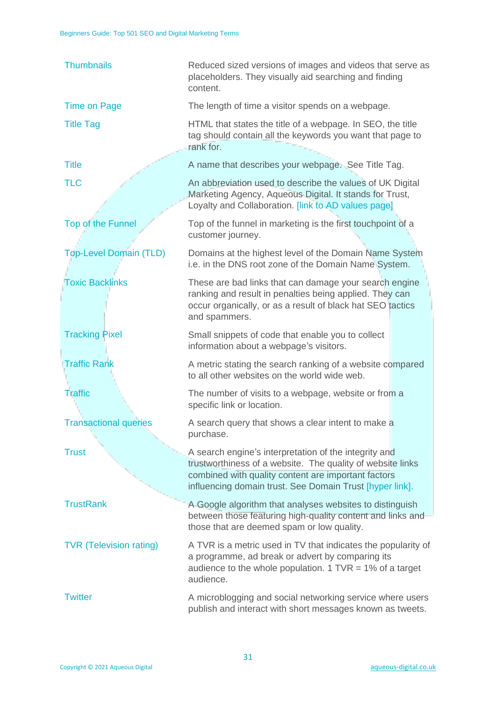| <b>Thumbnails</b>              | Reduced sized versions of images and videos that serve as<br>placeholders. They visually aid searching and finding<br>content.                                                                                                         |  |
|--------------------------------|----------------------------------------------------------------------------------------------------------------------------------------------------------------------------------------------------------------------------------------|--|
| <b>Time on Page</b>            | The length of time a visitor spends on a webpage.                                                                                                                                                                                      |  |
| <b>Title Tag</b>               | HTML that states the title of a webpage. In SEO, the title<br>tag should contain all the keywords you want that page to<br>rank for.                                                                                                   |  |
| <b>Title</b>                   | A name that describes your webpage. See Title Tag.                                                                                                                                                                                     |  |
| <b>TLC</b>                     | An abbreviation used to describe the values of UK Digital<br>Marketing Agency, Aqueous Digital. It stands for Trust,<br>Loyalty and Collaboration. [link to AD values page]                                                            |  |
| Top of the Funnel              | Top of the funnel in marketing is the first touchpoint of a<br>customer journey.                                                                                                                                                       |  |
| <b>Top-Level Domain (TLD)</b>  | Domains at the highest level of the Domain Name System<br>i.e. in the DNS root zone of the Domain Name System.                                                                                                                         |  |
| <b>Toxic Backlinks</b>         | These are bad links that can damage your search engine<br>ranking and result in penalties being applied. They can<br>occur organically, or as a result of black hat SEO tactics<br>and spammers.                                       |  |
| <b>Tracking Pixel</b>          | Small snippets of code that enable you to collect<br>information about a webpage's visitors.                                                                                                                                           |  |
| <b>Traffic Rank</b>            | A metric stating the search ranking of a website compared<br>to all other websites on the world wide web.                                                                                                                              |  |
| <b>Traffic</b>                 | The number of visits to a webpage, website or from a<br>specific link or location.                                                                                                                                                     |  |
| <b>Transactional queries</b>   | A search query that shows a clear intent to make a<br>purchase.                                                                                                                                                                        |  |
| <b>Trust</b>                   | A search engine's interpretation of the integrity and<br>trustworthiness of a website. The quality of website links<br>combined with quality content are important factors<br>influencing domain trust. See Domain Trust [hyper link]. |  |
| <b>TrustRank</b>               | A Google algorithm that analyses websites to distinguish<br>between those featuring high-quality content and links and<br>those that are deemed spam or low quality.                                                                   |  |
| <b>TVR (Television rating)</b> | A TVR is a metric used in TV that indicates the popularity of<br>a programme, ad break or advert by comparing its<br>audience to the whole population. $1$ TVR = 1% of a target<br>audience.                                           |  |
| <b>Twitter</b>                 | A microblogging and social networking service where users<br>publish and interact with short messages known as tweets.                                                                                                                 |  |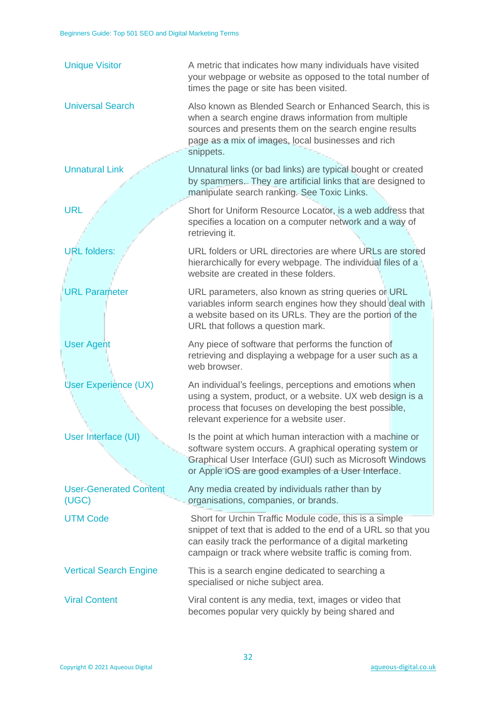| <b>Unique Visitor</b>                  | A metric that indicates how many individuals have visited<br>your webpage or website as opposed to the total number of<br>times the page or site has been visited.                                                                            |  |
|----------------------------------------|-----------------------------------------------------------------------------------------------------------------------------------------------------------------------------------------------------------------------------------------------|--|
| <b>Universal Search</b>                | Also known as Blended Search or Enhanced Search, this is<br>when a search engine draws information from multiple<br>sources and presents them on the search engine results<br>page as a mix of images, local businesses and rich<br>snippets. |  |
| <b>Unnatural Link</b>                  | Unnatural links (or bad links) are typical bought or created<br>by spammers. They are artificial links that are designed to<br>manipulate search ranking. See Toxic Links.                                                                    |  |
| <b>URL</b>                             | Short for Uniform Resource Locator, is a web address that<br>specifies a location on a computer network and a way of<br>retrieving it.                                                                                                        |  |
| <b>URL</b> folders:                    | URL folders or URL directories are where URLs are stored<br>hierarchically for every webpage. The individual files of a<br>website are created in these folders.                                                                              |  |
| <b>URL Parameter</b>                   | URL parameters, also known as string queries or URL<br>variables inform search engines how they should deal with<br>a website based on its URLs. They are the portion of the<br>URL that follows a question mark.                             |  |
| <b>User Agent</b>                      | Any piece of software that performs the function of<br>retrieving and displaying a webpage for a user such as a<br>web browser.                                                                                                               |  |
| User Experience (UX)                   | An individual's feelings, perceptions and emotions when<br>using a system, product, or a website. UX web design is a<br>process that focuses on developing the best possible,<br>relevant experience for a website user.                      |  |
| User Interface (UI)                    | Is the point at which human interaction with a machine or<br>software system occurs. A graphical operating system or<br>Graphical User Interface (GUI) such as Microsoft Windows<br>or Apple iOS are good examples of a User Interface.       |  |
| <b>User-Generated Content</b><br>(UGC) | Any media created by individuals rather than by<br>organisations, companies, or brands.                                                                                                                                                       |  |
| <b>UTM Code</b>                        | Short for Urchin Traffic Module code, this is a simple<br>snippet of text that is added to the end of a URL so that you<br>can easily track the performance of a digital marketing<br>campaign or track where website traffic is coming from. |  |
| <b>Vertical Search Engine</b>          | This is a search engine dedicated to searching a<br>specialised or niche subject area.                                                                                                                                                        |  |
| <b>Viral Content</b>                   | Viral content is any media, text, images or video that<br>becomes popular very quickly by being shared and                                                                                                                                    |  |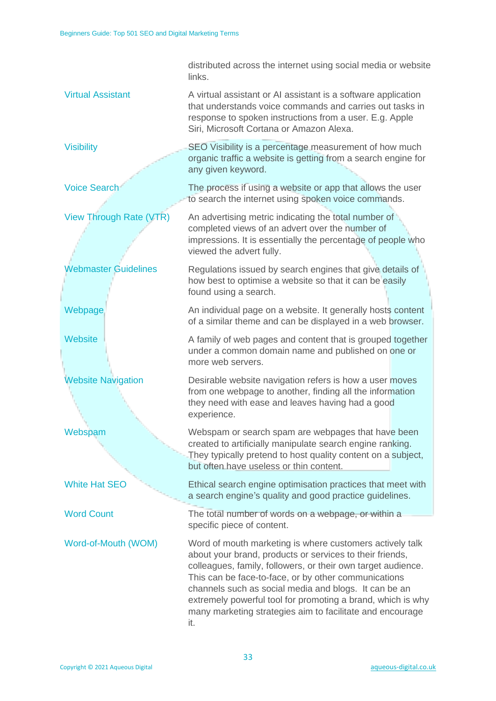|                             | distributed across the internet using social media or website<br>links.                                                                                                                                                                                                                                                                                                                                                                  |  |
|-----------------------------|------------------------------------------------------------------------------------------------------------------------------------------------------------------------------------------------------------------------------------------------------------------------------------------------------------------------------------------------------------------------------------------------------------------------------------------|--|
| <b>Virtual Assistant</b>    | A virtual assistant or AI assistant is a software application<br>that understands voice commands and carries out tasks in<br>response to spoken instructions from a user. E.g. Apple<br>Siri, Microsoft Cortana or Amazon Alexa.                                                                                                                                                                                                         |  |
| <b>Visibility</b>           | SEO Visibility is a percentage measurement of how much<br>organic traffic a website is getting from a search engine for<br>any given keyword.                                                                                                                                                                                                                                                                                            |  |
| <b>Voice Search</b>         | The process if using a website or app that allows the user<br>to search the internet using spoken voice commands.                                                                                                                                                                                                                                                                                                                        |  |
| View Through Rate (VTR)     | An advertising metric indicating the total number of<br>completed views of an advert over the number of<br>impressions. It is essentially the percentage of people who<br>viewed the advert fully.                                                                                                                                                                                                                                       |  |
| <b>Webmaster Guidelines</b> | Regulations issued by search engines that give details of<br>how best to optimise a website so that it can be easily<br>found using a search.                                                                                                                                                                                                                                                                                            |  |
| Webpage                     | An individual page on a website. It generally hosts content<br>of a similar theme and can be displayed in a web browser.                                                                                                                                                                                                                                                                                                                 |  |
| <b>Website</b>              | A family of web pages and content that is grouped together<br>under a common domain name and published on one or<br>more web servers.                                                                                                                                                                                                                                                                                                    |  |
| <b>Website Navigation</b>   | Desirable website navigation refers is how a user moves<br>from one webpage to another, finding all the information<br>they need with ease and leaves having had a good<br>experience.                                                                                                                                                                                                                                                   |  |
| Webspam                     | Webspam or search spam are webpages that have been<br>created to artificially manipulate search engine ranking.<br>They typically pretend to host quality content on a subject,<br>but often have useless or thin content.                                                                                                                                                                                                               |  |
| <b>White Hat SEO</b>        | Ethical search engine optimisation practices that meet with<br>a search engine's quality and good practice guidelines.                                                                                                                                                                                                                                                                                                                   |  |
| <b>Word Count</b>           | The total number of words on a webpage, or within a<br>specific piece of content.                                                                                                                                                                                                                                                                                                                                                        |  |
| Word-of-Mouth (WOM)         | Word of mouth marketing is where customers actively talk<br>about your brand, products or services to their friends,<br>colleagues, family, followers, or their own target audience.<br>This can be face-to-face, or by other communications<br>channels such as social media and blogs. It can be an<br>extremely powerful tool for promoting a brand, which is why<br>many marketing strategies aim to facilitate and encourage<br>it. |  |